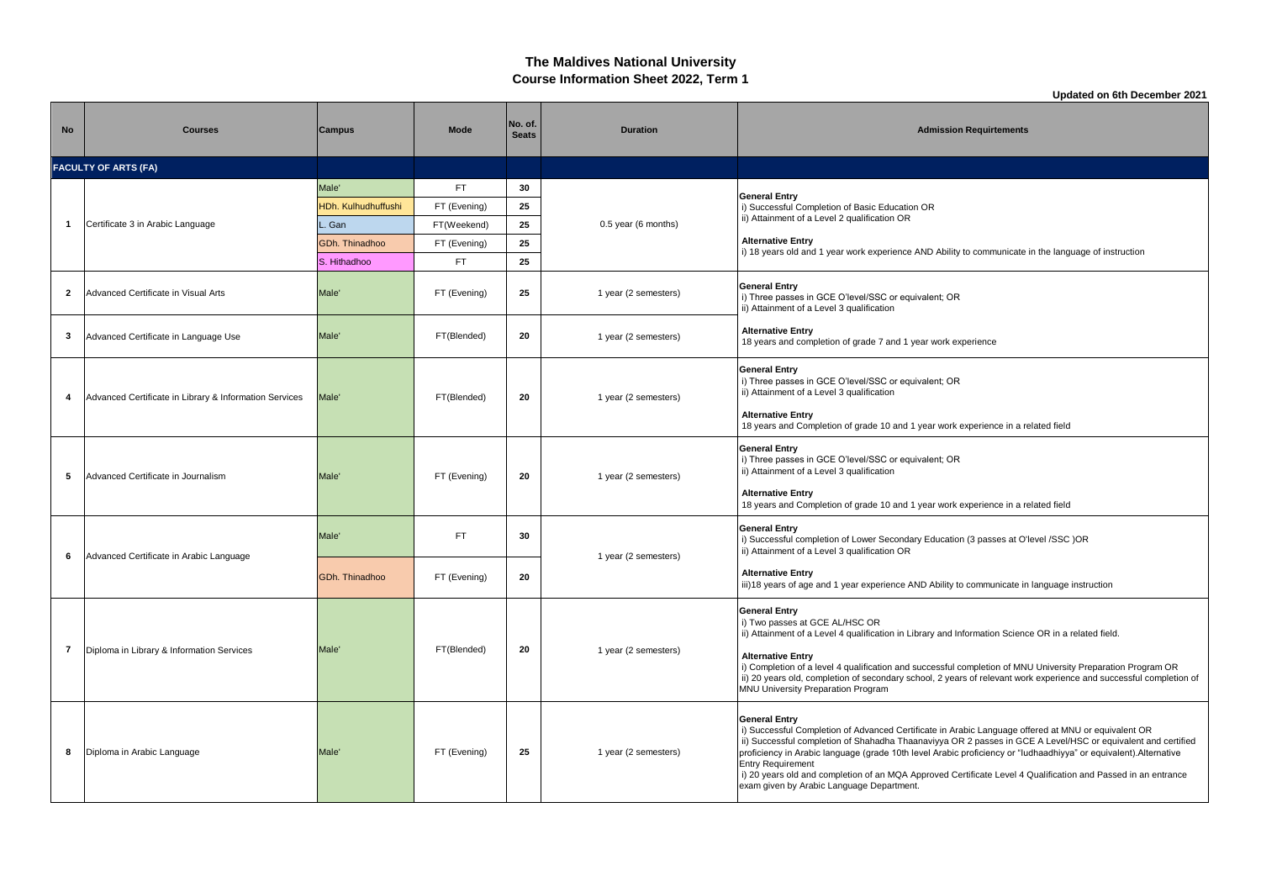## **The Maldives National University Course Information Sheet 2022, Term 1**

**Updated on 6th December 2021**

| <b>No</b>      | <b>Courses</b>                                         | Campus              | <b>Mode</b>  | No. of.<br><b>Seats</b> | <b>Duration</b>      | <b>Admission Requirtements</b>                                                                                                                                                                                                                                                                                                                                                                                                                                                                                                                             |
|----------------|--------------------------------------------------------|---------------------|--------------|-------------------------|----------------------|------------------------------------------------------------------------------------------------------------------------------------------------------------------------------------------------------------------------------------------------------------------------------------------------------------------------------------------------------------------------------------------------------------------------------------------------------------------------------------------------------------------------------------------------------------|
|                | <b>FACULTY OF ARTS (FA)</b>                            |                     |              |                         |                      |                                                                                                                                                                                                                                                                                                                                                                                                                                                                                                                                                            |
|                |                                                        | Male'               | FT.          | 30                      |                      |                                                                                                                                                                                                                                                                                                                                                                                                                                                                                                                                                            |
|                |                                                        | HDh. Kulhudhuffushi | FT (Evening) | 25                      |                      | <b>General Entry</b><br>i) Successful Completion of Basic Education OR                                                                                                                                                                                                                                                                                                                                                                                                                                                                                     |
| -1             | Certificate 3 in Arabic Language                       | . Gan               | FT(Weekend)  | 25                      | 0.5 year (6 months)  | ii) Attainment of a Level 2 qualification OR                                                                                                                                                                                                                                                                                                                                                                                                                                                                                                               |
|                |                                                        | GDh. Thinadhoo      | FT (Evening) | 25                      |                      | <b>Alternative Entry</b>                                                                                                                                                                                                                                                                                                                                                                                                                                                                                                                                   |
|                |                                                        | S. Hithadhoo        | FT.          | 25                      |                      | i) 18 years old and 1 year work experience AND Ability to communicate in the language of instruction                                                                                                                                                                                                                                                                                                                                                                                                                                                       |
| $\overline{2}$ | Advanced Certificate in Visual Arts                    | Male'               | FT (Evening) | 25                      | 1 year (2 semesters) | <b>General Entry</b><br>i) Three passes in GCE O'level/SSC or equivalent; OR<br>ii) Attainment of a Level 3 qualification                                                                                                                                                                                                                                                                                                                                                                                                                                  |
| 3              | Advanced Certificate in Language Use                   | Male'               | FT(Blended)  | 20                      | 1 year (2 semesters) | <b>Alternative Entry</b><br>18 years and completion of grade 7 and 1 year work experience                                                                                                                                                                                                                                                                                                                                                                                                                                                                  |
| -4             | Advanced Certificate in Library & Information Services | Male'               | FT(Blended)  | 20                      | 1 year (2 semesters) | <b>General Entry</b><br>i) Three passes in GCE O'level/SSC or equivalent; OR<br>ii) Attainment of a Level 3 qualification<br><b>Alternative Entry</b>                                                                                                                                                                                                                                                                                                                                                                                                      |
|                |                                                        |                     |              |                         |                      | 18 years and Completion of grade 10 and 1 year work experience in a related field                                                                                                                                                                                                                                                                                                                                                                                                                                                                          |
| 5              | Advanced Certificate in Journalism                     | Male'               | FT (Evening) | 20                      | 1 year (2 semesters) | <b>General Entry</b><br>i) Three passes in GCE O'level/SSC or equivalent; OR<br>ii) Attainment of a Level 3 qualification<br><b>Alternative Entry</b>                                                                                                                                                                                                                                                                                                                                                                                                      |
|                |                                                        |                     |              |                         |                      | 18 years and Completion of grade 10 and 1 year work experience in a related field                                                                                                                                                                                                                                                                                                                                                                                                                                                                          |
| 6              | Advanced Certificate in Arabic Language                | Male'               | FT.          | 30                      | 1 year (2 semesters) | General Entry<br>i) Successful completion of Lower Secondary Education (3 passes at O'level /SSC )OR<br>ii) Attainment of a Level 3 qualification OR                                                                                                                                                                                                                                                                                                                                                                                                       |
|                |                                                        | GDh. Thinadhoo      | FT (Evening) | 20                      |                      | <b>Alternative Entry</b><br>iii) 18 years of age and 1 year experience AND Ability to communicate in language instruction                                                                                                                                                                                                                                                                                                                                                                                                                                  |
| 7              | Diploma in Library & Information Services              | Male'               | FT(Blended)  | 20                      | 1 year (2 semesters) | <b>General Entry</b><br>i) Two passes at GCE AL/HSC OR<br>ii) Attainment of a Level 4 qualification in Library and Information Science OR in a related field.<br><b>Alternative Entry</b><br>i) Completion of a level 4 qualification and successful completion of MNU University Preparation Program OR<br>ii) 20 years old, completion of secondary school, 2 years of relevant work experience and successful completion of<br>MNU University Preparation Program                                                                                       |
| 8              | Diploma in Arabic Language                             | Male'               | FT (Evening) | 25                      | 1 year (2 semesters) | <b>General Entry</b><br>i) Successful Completion of Advanced Certificate in Arabic Language offered at MNU or equivalent OR<br>ii) Successful completion of Shahadha Thaanaviyya OR 2 passes in GCE A Level/HSC or equivalent and certified<br>proficiency in Arabic language (grade 10th level Arabic proficiency or "ludhaadhiyya" or equivalent). Alternative<br><b>Entry Requirement</b><br>i) 20 years old and completion of an MQA Approved Certificate Level 4 Qualification and Passed in an entrance<br>exam given by Arabic Language Department. |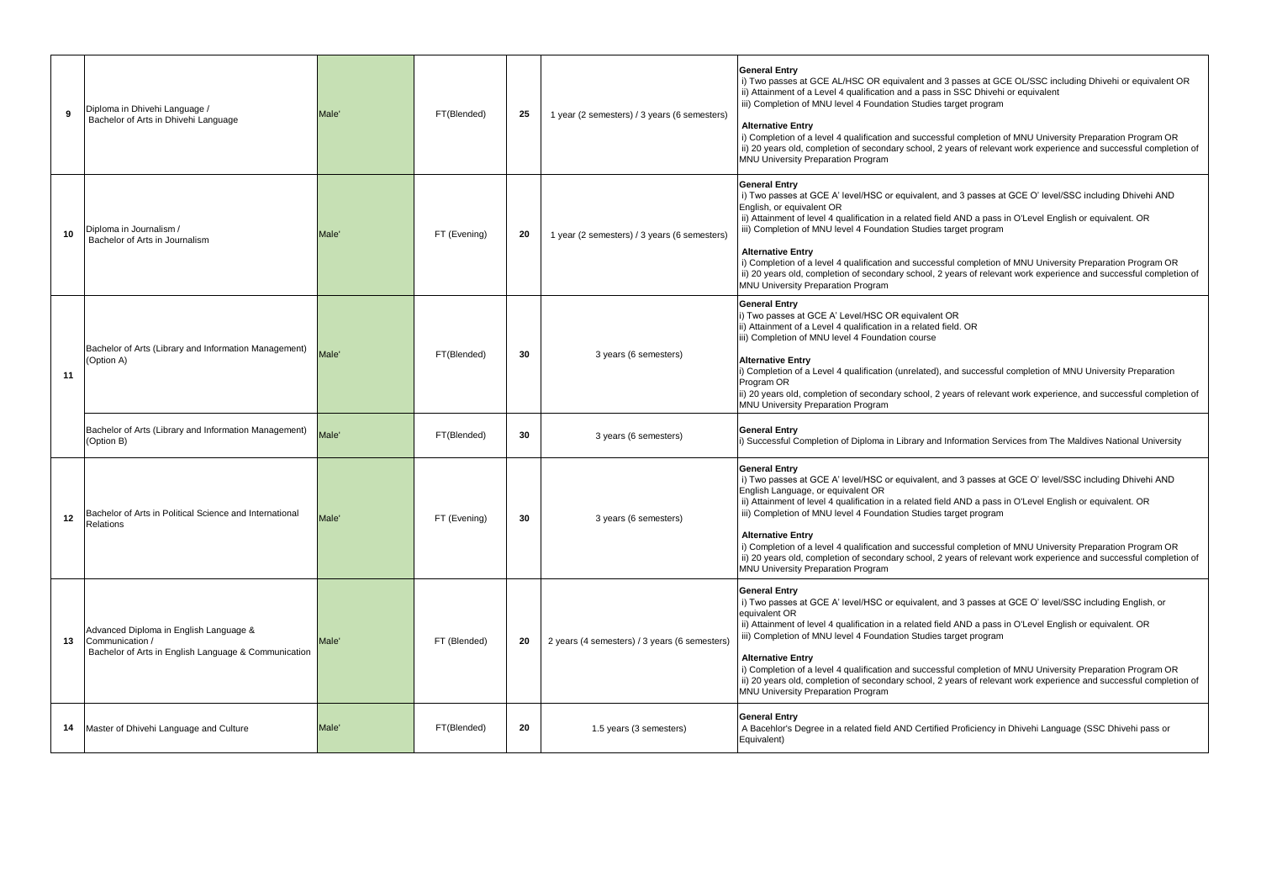|    | Diploma in Dhivehi Language /<br>Bachelor of Arts in Dhivehi Language                                             | Male <sup>®</sup> | FT(Blended)  | 25 | 1 year (2 semesters) / 3 years (6 semesters)  | <b>General Entry</b><br>i) Two passes at GCE AL/HSC OR equivalent and 3 passes at GCE OL/SSC including Dhivehi or equivalent OR<br>ii) Attainment of a Level 4 qualification and a pass in SSC Dhivehi or equivalent<br>iii) Completion of MNU level 4 Foundation Studies target program<br><b>Alternative Entry</b><br>i) Completion of a level 4 qualification and successful completion of MNU University Preparation Program OR<br>ii) 20 years old, completion of secondary school, 2 years of relevant work experience and successful completion of<br>MNU University Preparation Program                                                                |
|----|-------------------------------------------------------------------------------------------------------------------|-------------------|--------------|----|-----------------------------------------------|----------------------------------------------------------------------------------------------------------------------------------------------------------------------------------------------------------------------------------------------------------------------------------------------------------------------------------------------------------------------------------------------------------------------------------------------------------------------------------------------------------------------------------------------------------------------------------------------------------------------------------------------------------------|
|    | Diploma in Journalism /<br>Bachelor of Arts in Journalism                                                         | <b>Male</b>       | FT (Evening) | 20 | 1 year (2 semesters) / 3 years (6 semesters)  | <b>General Entry</b><br>i) Two passes at GCE A' level/HSC or equivalent, and 3 passes at GCE O' level/SSC including Dhivehi AND<br>English, or equivalent OR<br>ii) Attainment of level 4 qualification in a related field AND a pass in O'Level English or equivalent. OR<br>iii) Completion of MNU level 4 Foundation Studies target program<br><b>Alternative Entry</b><br>i) Completion of a level 4 qualification and successful completion of MNU University Preparation Program OR<br>ii) 20 years old, completion of secondary school, 2 years of relevant work experience and successful completion of<br>MNU University Preparation Program          |
| 11 | Bachelor of Arts (Library and Information Management)<br>(Option A)                                               | Male <sup>®</sup> | FT(Blended)  | 30 | 3 years (6 semesters)                         | <b>General Entry</b><br>i) Two passes at GCE A' Level/HSC OR equivalent OR<br>ii) Attainment of a Level 4 qualification in a related field. OR<br>iii) Completion of MNU level 4 Foundation course<br><b>Alternative Entry</b><br>i) Completion of a Level 4 qualification (unrelated), and successful completion of MNU University Preparation<br>Program OR<br>ii) 20 years old, completion of secondary school, 2 years of relevant work experience, and successful completion of<br>MNU University Preparation Program                                                                                                                                     |
|    | Bachelor of Arts (Library and Information Management)<br>(Option B)                                               | Male <sup>®</sup> | FT(Blended)  | 30 | 3 years (6 semesters)                         | <b>General Entry</b><br>i) Successful Completion of Diploma in Library and Information Services from The Maldives National University                                                                                                                                                                                                                                                                                                                                                                                                                                                                                                                          |
| 12 | Bachelor of Arts in Political Science and International<br>Relations                                              | Male <sup>®</sup> | FT (Evening) | 30 | 3 years (6 semesters)                         | <b>General Entry</b><br>i) Two passes at GCE A' level/HSC or equivalent, and 3 passes at GCE O' level/SSC including Dhivehi AND<br>English Language, or equivalent OR<br>ii) Attainment of level 4 qualification in a related field AND a pass in O'Level English or equivalent. OR<br>iii) Completion of MNU level 4 Foundation Studies target program<br><b>Alternative Entry</b><br>i) Completion of a level 4 qualification and successful completion of MNU University Preparation Program OR<br>ii) 20 years old, completion of secondary school, 2 years of relevant work experience and successful completion of<br>MNU University Preparation Program |
| 13 | Advanced Diploma in English Language &<br>Communication /<br>Bachelor of Arts in English Language & Communication | Male'             | FT (Blended) | 20 | 2 years (4 semesters) / 3 years (6 semesters) | <b>General Entry</b><br>i) Two passes at GCE A' level/HSC or equivalent, and 3 passes at GCE O' level/SSC including English, or<br>equivalent OR<br>ii) Attainment of level 4 qualification in a related field AND a pass in O'Level English or equivalent. OR<br>iii) Completion of MNU level 4 Foundation Studies target program<br><b>Alternative Entry</b><br>i) Completion of a level 4 qualification and successful completion of MNU University Preparation Program OR<br>ii) 20 years old, completion of secondary school, 2 years of relevant work experience and successful completion of<br>MNU University Preparation Program                      |
| 14 | Master of Dhivehi Language and Culture                                                                            | <b>Male</b>       | FT(Blended)  | 20 | 1.5 years (3 semesters)                       | <b>General Entry</b><br>A Bacehlor's Degree in a related field AND Certified Proficiency in Dhivehi Language (SSC Dhivehi pass or<br>Equivalent)                                                                                                                                                                                                                                                                                                                                                                                                                                                                                                               |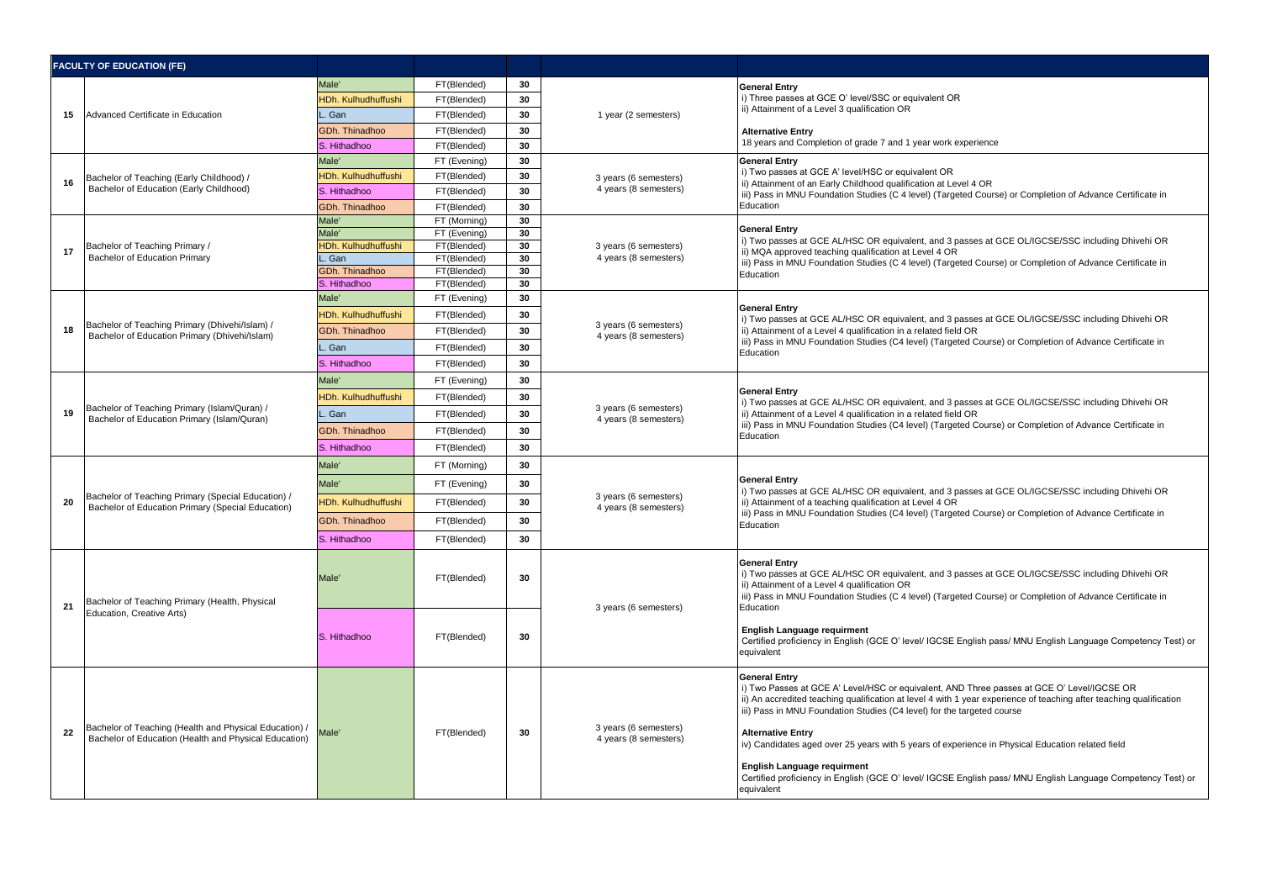|    | <b>FACULTY OF EDUCATION (FE)</b>                                                                                |                            |                              |          |                                                |                                                                                                                                                                                                                                                                                                                                                                                                                                                     |
|----|-----------------------------------------------------------------------------------------------------------------|----------------------------|------------------------------|----------|------------------------------------------------|-----------------------------------------------------------------------------------------------------------------------------------------------------------------------------------------------------------------------------------------------------------------------------------------------------------------------------------------------------------------------------------------------------------------------------------------------------|
|    |                                                                                                                 | Male'                      | FT(Blended)                  | 30       |                                                | <b>General Entry</b>                                                                                                                                                                                                                                                                                                                                                                                                                                |
|    |                                                                                                                 | <b>HDh. Kulhudhuffushi</b> | FT(Blended)                  | 30       |                                                | i) Three passes at GCE O' level/SSC or equivalent OR                                                                                                                                                                                                                                                                                                                                                                                                |
| 15 | Advanced Certificate in Education                                                                               | . Gan                      | FT(Blended)                  | 30       | 1 year (2 semesters)                           | ii) Attainment of a Level 3 qualification OR                                                                                                                                                                                                                                                                                                                                                                                                        |
|    |                                                                                                                 | GDh. Thinadhoo             | FT(Blended)                  | 30       |                                                | <b>Alternative Entry</b>                                                                                                                                                                                                                                                                                                                                                                                                                            |
|    |                                                                                                                 | S. Hithadhoo               | FT(Blended)                  | 30       |                                                | 18 years and Completion of grade 7 and 1 year work experience                                                                                                                                                                                                                                                                                                                                                                                       |
|    |                                                                                                                 | Male <sup>®</sup>          | FT (Evening)                 | 30       |                                                | <b>General Entry</b>                                                                                                                                                                                                                                                                                                                                                                                                                                |
| 16 | Bachelor of Teaching (Early Childhood) /                                                                        | <b>HDh. Kulhudhuffushi</b> | FT(Blended)                  | 30       | 3 years (6 semesters)                          | i) Two passes at GCE A' level/HSC or equivalent OR<br>ii) Attainment of an Early Childhood qualification at Level 4 OR                                                                                                                                                                                                                                                                                                                              |
|    | Bachelor of Education (Early Childhood)                                                                         | S. Hithadhoo               | FT(Blended)                  | 30       | 4 years (8 semesters)                          | iii) Pass in MNU Foundation Studies (C 4 level) (Targeted Course) or Completion of Advance Certificate in                                                                                                                                                                                                                                                                                                                                           |
|    |                                                                                                                 | GDh. Thinadhoo             | FT(Blended)                  | 30       |                                                | Education                                                                                                                                                                                                                                                                                                                                                                                                                                           |
|    |                                                                                                                 | Male'<br>Male'             | FT (Morning)<br>FT (Evening) | 30<br>30 |                                                | <b>General Entry</b>                                                                                                                                                                                                                                                                                                                                                                                                                                |
|    | Bachelor of Teaching Primary /                                                                                  | <b>HDh. Kulhudhuffushi</b> | FT(Blended)                  | 30       | 3 years (6 semesters)                          | i) Two passes at GCE AL/HSC OR equivalent, and 3 passes at GCE OL/IGCSE/SSC including Dhivehi OR                                                                                                                                                                                                                                                                                                                                                    |
| 17 | <b>Bachelor of Education Primary</b>                                                                            | . Gan                      | FT(Blended)                  | 30       | 4 years (8 semesters)                          | ii) MQA approved teaching qualification at Level 4 OR<br>iii) Pass in MNU Foundation Studies (C 4 level) (Targeted Course) or Completion of Advance Certificate in                                                                                                                                                                                                                                                                                  |
|    |                                                                                                                 | GDh. Thinadhoo             | FT(Blended)                  | 30       |                                                | Education                                                                                                                                                                                                                                                                                                                                                                                                                                           |
|    |                                                                                                                 | S. Hithadhoo               | FT(Blended)                  | 30       |                                                |                                                                                                                                                                                                                                                                                                                                                                                                                                                     |
|    |                                                                                                                 | Male'                      | FT (Evening)                 | 30<br>30 |                                                | <b>General Entry</b>                                                                                                                                                                                                                                                                                                                                                                                                                                |
| 18 | Bachelor of Teaching Primary (Dhivehi/Islam) /                                                                  | <b>HDh. Kulhudhuffushi</b> | FT(Blended)                  |          | 3 years (6 semesters)                          | i) Two passes at GCE AL/HSC OR equivalent, and 3 passes at GCE OL/IGCSE/SSC including Dhivehi OR                                                                                                                                                                                                                                                                                                                                                    |
|    | Bachelor of Education Primary (Dhivehi/Islam)                                                                   | GDh. Thinadhoo             | FT(Blended)                  | 30       | 4 years (8 semesters)                          | ii) Attainment of a Level 4 qualification in a related field OR<br>iii) Pass in MNU Foundation Studies (C4 level) (Targeted Course) or Completion of Advance Certificate in                                                                                                                                                                                                                                                                         |
|    |                                                                                                                 | . Gan                      | FT(Blended)                  | 30       |                                                | Education                                                                                                                                                                                                                                                                                                                                                                                                                                           |
|    |                                                                                                                 | S. Hithadhoo               | FT(Blended)                  | 30       |                                                |                                                                                                                                                                                                                                                                                                                                                                                                                                                     |
|    |                                                                                                                 | Male'                      | FT (Evening)                 | 30       |                                                | <b>General Entry</b><br>i) Two passes at GCE AL/HSC OR equivalent, and 3 passes at GCE OL/IGCSE/SSC including Dhivehi OR                                                                                                                                                                                                                                                                                                                            |
|    | Bachelor of Teaching Primary (Islam/Quran) /                                                                    | <b>IDh. Kulhudhuffushi</b> | FT(Blended)                  | 30       | 3 years (6 semesters)                          |                                                                                                                                                                                                                                                                                                                                                                                                                                                     |
| 19 | Bachelor of Education Primary (Islam/Quran)                                                                     | . Gan                      | FT(Blended)                  | 30       | 4 years (8 semesters)                          | ii) Attainment of a Level 4 qualification in a related field OR<br>iii) Pass in MNU Foundation Studies (C4 level) (Targeted Course) or Completion of Advance Certificate in                                                                                                                                                                                                                                                                         |
|    |                                                                                                                 | GDh. Thinadhoo             | FT(Blended)                  | 30       |                                                | Education                                                                                                                                                                                                                                                                                                                                                                                                                                           |
|    |                                                                                                                 | S. Hithadhoo               | FT(Blended)                  | 30       |                                                |                                                                                                                                                                                                                                                                                                                                                                                                                                                     |
|    |                                                                                                                 | Male'                      | FT (Morning)                 | 30       |                                                | <b>General Entry</b><br>i) Two passes at GCE AL/HSC OR equivalent, and 3 passes at GCE OL/IGCSE/SSC including Dhivehi OR<br>ii) Attainment of a teaching qualification at Level 4 OR<br>iii) Pass in MNU Foundation Studies (C4 level) (Targeted Course) or Completion of Advance Certificate in<br>Education                                                                                                                                       |
|    |                                                                                                                 | Male'                      | FT (Evening)                 | 30       |                                                |                                                                                                                                                                                                                                                                                                                                                                                                                                                     |
| 20 | Bachelor of Teaching Primary (Special Education) /<br>Bachelor of Education Primary (Special Education)         | <b>HDh. Kulhudhuffushi</b> | FT(Blended)                  | 30       | 3 years (6 semesters)<br>4 years (8 semesters) |                                                                                                                                                                                                                                                                                                                                                                                                                                                     |
|    |                                                                                                                 | GDh. Thinadhoo             | FT(Blended)                  | 30       |                                                |                                                                                                                                                                                                                                                                                                                                                                                                                                                     |
|    |                                                                                                                 | S. Hithadhoo               | FT(Blended)                  | 30       |                                                |                                                                                                                                                                                                                                                                                                                                                                                                                                                     |
| 21 | Bachelor of Teaching Primary (Health, Physical                                                                  | Male'                      | FT(Blended)                  | 30       | 3 years (6 semesters)                          | <b>General Entry</b><br>i) Two passes at GCE AL/HSC OR equivalent, and 3 passes at GCE OL/IGCSE/SSC including Dhivehi OR<br>ii) Attainment of a Level 4 qualification OR<br>iii) Pass in MNU Foundation Studies (C 4 level) (Targeted Course) or Completion of Advance Certificate in<br>Education                                                                                                                                                  |
|    | Education, Creative Arts)                                                                                       | S. Hithadhoo               | FT(Blended)                  | 30       |                                                | <b>English Language requirment</b><br>Certified proficiency in English (GCE O' level/ IGCSE English pass/ MNU English Language Competency Test) or<br>equivalent                                                                                                                                                                                                                                                                                    |
| 22 | Bachelor of Teaching (Health and Physical Education) /<br>Bachelor of Education (Health and Physical Education) | Male <sup>'</sup>          | FT(Blended)                  | 30       | 3 years (6 semesters)<br>4 years (8 semesters) | <b>General Entry</b><br>i) Two Passes at GCE A' Level/HSC or equivalent, AND Three passes at GCE O' Level/IGCSE OR<br>ii) An accredited teaching qualification at level 4 with 1 year experience of teaching after teaching qualification<br>iii) Pass in MNU Foundation Studies (C4 level) for the targeted course<br><b>Alternative Entry</b><br>iv) Candidates aged over 25 years with 5 years of experience in Physical Education related field |
|    |                                                                                                                 |                            |                              |          |                                                | English Language requirment<br>Certified proficiency in English (GCE O' level/ IGCSE English pass/ MNU English Language Competency Test) or<br>equivalent                                                                                                                                                                                                                                                                                           |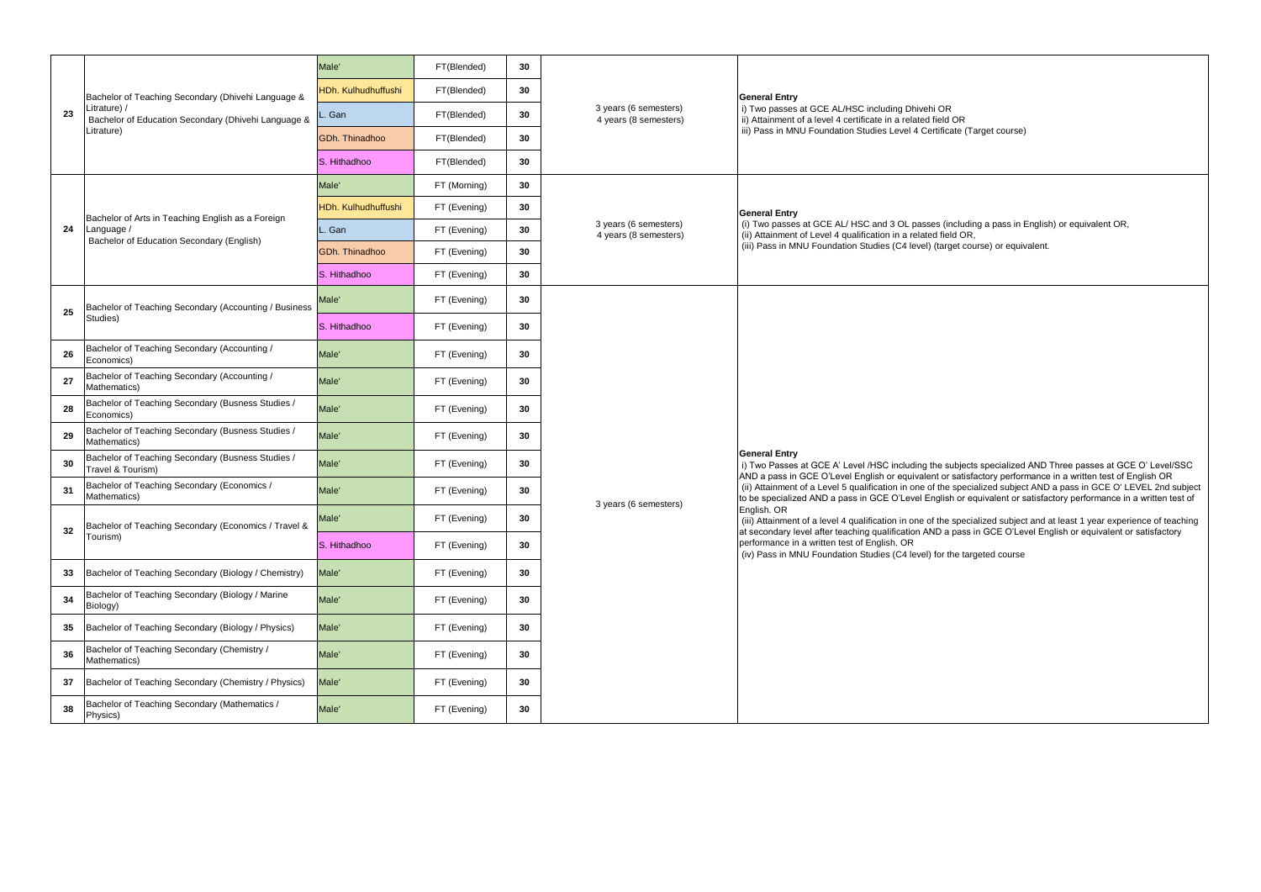|    |                                                                        | Male'                      | FT(Blended)  | 30 |                                                |                                                                                                                                                                                                                                                                                                                                                         |  |  |
|----|------------------------------------------------------------------------|----------------------------|--------------|----|------------------------------------------------|---------------------------------------------------------------------------------------------------------------------------------------------------------------------------------------------------------------------------------------------------------------------------------------------------------------------------------------------------------|--|--|
|    | Bachelor of Teaching Secondary (Dhivehi Language &                     | <b>IDh. Kulhudhuffushi</b> | FT(Blended)  | 30 |                                                | <b>General Entry</b>                                                                                                                                                                                                                                                                                                                                    |  |  |
| 23 | Litrature) /<br>Bachelor of Education Secondary (Dhivehi Language &    | . Gan                      | FT(Blended)  | 30 | 3 years (6 semesters)<br>4 years (8 semesters) | i) Two passes at GCE AL/HSC including Dhivehi OR<br>ii) Attainment of a level 4 certificate in a related field OR                                                                                                                                                                                                                                       |  |  |
|    | Litrature)                                                             | GDh. Thinadhoo             | FT(Blended)  | 30 |                                                | iii) Pass in MNU Foundation Studies Level 4 Certificate (Target course)                                                                                                                                                                                                                                                                                 |  |  |
|    |                                                                        | S. Hithadhoo               | FT(Blended)  | 30 |                                                |                                                                                                                                                                                                                                                                                                                                                         |  |  |
|    |                                                                        | Male <sup>'</sup>          | FT (Morning) | 30 |                                                |                                                                                                                                                                                                                                                                                                                                                         |  |  |
|    | Bachelor of Arts in Teaching English as a Foreign                      | HDh. Kulhudhuffushi        | FT (Evening) | 30 |                                                | <b>General Entry</b>                                                                                                                                                                                                                                                                                                                                    |  |  |
| 24 | Language /<br>Bachelor of Education Secondary (English)                | Gan                        | FT (Evening) | 30 | 3 years (6 semesters)<br>4 years (8 semesters) | (i) Two passes at GCE AL/HSC and 3 OL passes (including a pass in English) or equivalent OR,<br>(ii) Attainment of Level 4 qualification in a related field OR,                                                                                                                                                                                         |  |  |
|    |                                                                        | <b>GDh. Thinadhoo</b>      | FT (Evening) | 30 |                                                | (iii) Pass in MNU Foundation Studies (C4 level) (target course) or equivalent.                                                                                                                                                                                                                                                                          |  |  |
|    |                                                                        | S. Hithadhoo               | FT (Evening) | 30 |                                                |                                                                                                                                                                                                                                                                                                                                                         |  |  |
| 25 | Bachelor of Teaching Secondary (Accounting / Business                  | Male'                      | FT (Evening) | 30 |                                                |                                                                                                                                                                                                                                                                                                                                                         |  |  |
|    | Studies)                                                               | S. Hithadhoo               | FT (Evening) | 30 |                                                |                                                                                                                                                                                                                                                                                                                                                         |  |  |
| 26 | Bachelor of Teaching Secondary (Accounting /<br>Economics)             | Male'                      | FT (Evening) | 30 |                                                | <b>General Entry</b><br>i) Two Passes at GCE A' Level /HSC including the subjects specialized AND Three passes at GCE O' Level/SSC                                                                                                                                                                                                                      |  |  |
| 27 | Bachelor of Teaching Secondary (Accounting /<br>Mathematics)           | Male <sup>'</sup>          | FT (Evening) | 30 |                                                |                                                                                                                                                                                                                                                                                                                                                         |  |  |
| 28 | Bachelor of Teaching Secondary (Busness Studies /<br>Economics)        | Male <sup>'</sup>          | FT (Evening) | 30 |                                                |                                                                                                                                                                                                                                                                                                                                                         |  |  |
| 29 | Bachelor of Teaching Secondary (Busness Studies /<br>Mathematics)      | Male'                      | FT (Evening) | 30 |                                                |                                                                                                                                                                                                                                                                                                                                                         |  |  |
| 30 | Bachelor of Teaching Secondary (Busness Studies /<br>Travel & Tourism) | Male'                      | FT (Evening) | 30 |                                                |                                                                                                                                                                                                                                                                                                                                                         |  |  |
| 31 | Bachelor of Teaching Secondary (Economics /<br>Mathematics)            | Male <sup>'</sup>          | FT (Evening) | 30 | 3 years (6 semesters)                          | AND a pass in GCE O'Level English or equivalent or satisfactory performance in a written test of English OR<br>(ii) Attainment of a Level 5 qualification in one of the specialized subject AND a pass in GCE O'LEVEL 2nd subject<br>to be specialized AND a pass in GCE O'Level English or equivalent or satisfactory performance in a written test of |  |  |
| 32 | Bachelor of Teaching Secondary (Economics / Travel &                   | Male'                      | FT (Evening) | 30 |                                                | English. OR<br>(iii) Attainment of a level 4 qualification in one of the specialized subject and at least 1 year experience of teaching                                                                                                                                                                                                                 |  |  |
|    | Tourism)                                                               | S. Hithadhoo               | FT (Evening) | 30 |                                                | at secondary level after teaching qualification AND a pass in GCE O'Level English or equivalent or satisfactory<br>performance in a written test of English. OR<br>(iv) Pass in MNU Foundation Studies (C4 level) for the targeted course                                                                                                               |  |  |
| 33 | Bachelor of Teaching Secondary (Biology / Chemistry)                   | Male'                      | FT (Evening) | 30 |                                                |                                                                                                                                                                                                                                                                                                                                                         |  |  |
| 34 | Bachelor of Teaching Secondary (Biology / Marine<br>Biology)           | Male <sup>'</sup>          | FT (Evening) | 30 |                                                |                                                                                                                                                                                                                                                                                                                                                         |  |  |
| 35 | Bachelor of Teaching Secondary (Biology / Physics)                     | Male'                      | FT (Evening) | 30 |                                                |                                                                                                                                                                                                                                                                                                                                                         |  |  |
| 36 | Bachelor of Teaching Secondary (Chemistry /<br>Mathematics)            | Male'                      | FT (Evening) | 30 |                                                |                                                                                                                                                                                                                                                                                                                                                         |  |  |
| 37 | Bachelor of Teaching Secondary (Chemistry / Physics)                   | Male'                      | FT (Evening) | 30 |                                                |                                                                                                                                                                                                                                                                                                                                                         |  |  |
| 38 | Bachelor of Teaching Secondary (Mathematics /<br>Physics)              | Male'                      | FT (Evening) | 30 |                                                |                                                                                                                                                                                                                                                                                                                                                         |  |  |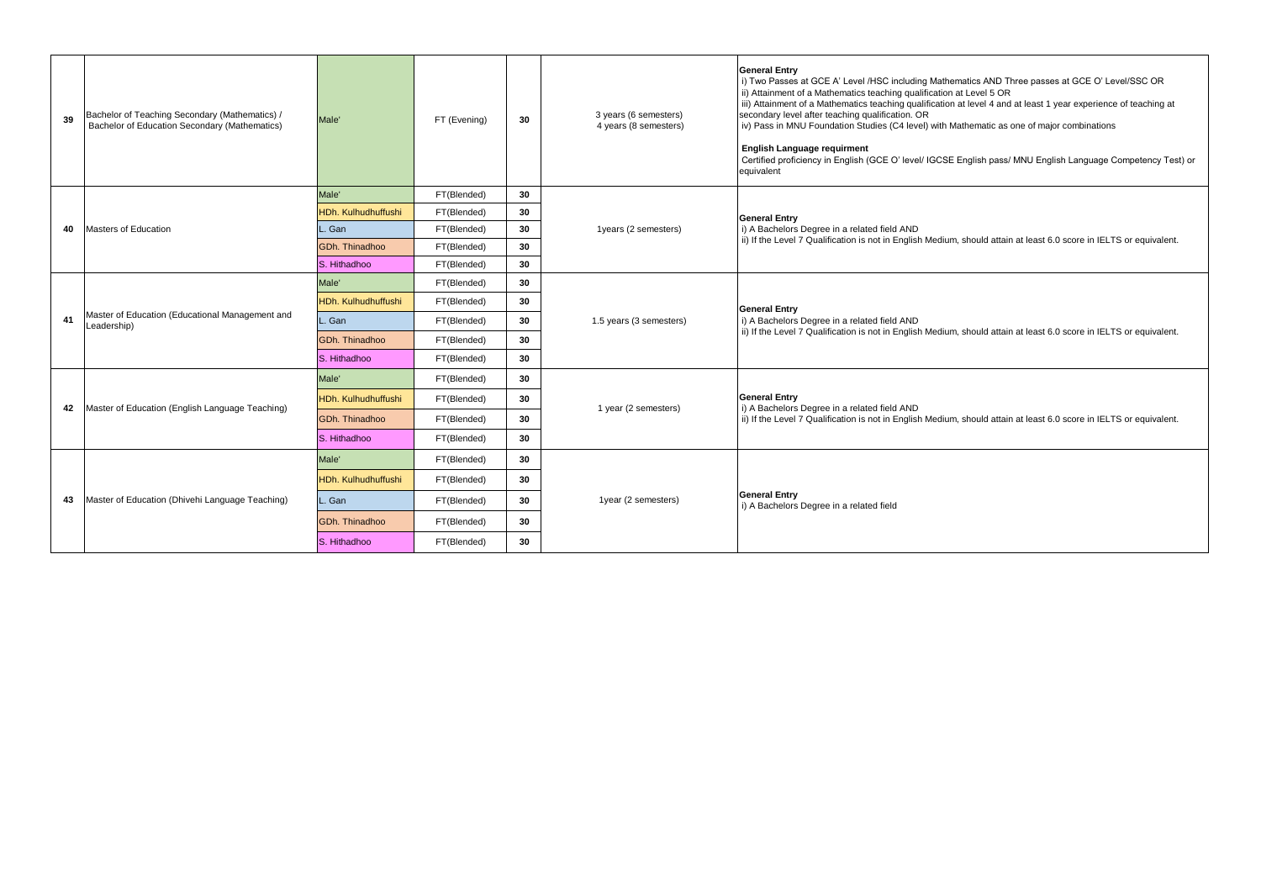| 39 | Bachelor of Teaching Secondary (Mathematics) /<br>Bachelor of Education Secondary (Mathematics) | Male'               | FT (Evening) | 30 | 3 years (6 semesters)<br>4 years (8 semesters) | <b>General Entry</b><br>i) Two Passes at GCE A' Level /HSC including Mathematics AND Three passes at GCE O' Level/SSC OR<br>ii) Attainment of a Mathematics teaching qualification at Level 5 OR<br>iii) Attainment of a Mathematics teaching qualification at level 4 and at least 1 year experience of teaching at<br>secondary level after teaching qualification. OR<br>iv) Pass in MNU Foundation Studies (C4 level) with Mathematic as one of major combinations<br><b>English Language requirment</b><br>Certified proficiency in English (GCE O' level/ IGCSE English pass/ MNU English Language Competency Test) or<br>equivalent |
|----|-------------------------------------------------------------------------------------------------|---------------------|--------------|----|------------------------------------------------|--------------------------------------------------------------------------------------------------------------------------------------------------------------------------------------------------------------------------------------------------------------------------------------------------------------------------------------------------------------------------------------------------------------------------------------------------------------------------------------------------------------------------------------------------------------------------------------------------------------------------------------------|
|    |                                                                                                 | Male'               | FT(Blended)  | 30 |                                                |                                                                                                                                                                                                                                                                                                                                                                                                                                                                                                                                                                                                                                            |
|    |                                                                                                 | HDh. Kulhudhuffushi | FT(Blended)  | 30 |                                                | <b>General Entry</b>                                                                                                                                                                                                                                                                                                                                                                                                                                                                                                                                                                                                                       |
| 40 | Masters of Education                                                                            | Gan                 | FT(Blended)  | 30 | 1years (2 semesters)                           | i) A Bachelors Degree in a related field AND<br>ii) If the Level 7 Qualification is not in English Medium, should attain at least 6.0 score in IELTS or equivalent.                                                                                                                                                                                                                                                                                                                                                                                                                                                                        |
|    |                                                                                                 | GDh. Thinadhoo      | FT(Blended)  | 30 |                                                |                                                                                                                                                                                                                                                                                                                                                                                                                                                                                                                                                                                                                                            |
|    |                                                                                                 | S. Hithadhoo        | FT(Blended)  | 30 |                                                |                                                                                                                                                                                                                                                                                                                                                                                                                                                                                                                                                                                                                                            |
|    | Master of Education (Educational Management and<br>Leadership)                                  | Male'               | FT(Blended)  | 30 | 1.5 years (3 semesters)                        |                                                                                                                                                                                                                                                                                                                                                                                                                                                                                                                                                                                                                                            |
|    |                                                                                                 | HDh. Kulhudhuffushi | FT(Blended)  | 30 |                                                | <b>General Entry</b>                                                                                                                                                                                                                                                                                                                                                                                                                                                                                                                                                                                                                       |
| 41 |                                                                                                 | Gan                 | FT(Blended)  | 30 |                                                | i) A Bachelors Degree in a related field AND<br>ii) If the Level 7 Qualification is not in English Medium, should attain at least 6.0 score in IELTS or equivalent.                                                                                                                                                                                                                                                                                                                                                                                                                                                                        |
|    |                                                                                                 | GDh. Thinadhoo      | FT(Blended)  | 30 |                                                |                                                                                                                                                                                                                                                                                                                                                                                                                                                                                                                                                                                                                                            |
|    |                                                                                                 | S. Hithadhoo        | FT(Blended)  | 30 |                                                |                                                                                                                                                                                                                                                                                                                                                                                                                                                                                                                                                                                                                                            |
|    |                                                                                                 | Male'               | FT(Blended)  | 30 |                                                |                                                                                                                                                                                                                                                                                                                                                                                                                                                                                                                                                                                                                                            |
| 42 | Master of Education (English Language Teaching)                                                 | HDh. Kulhudhuffushi | FT(Blended)  | 30 | 1 year (2 semesters)                           | <b>General Entry</b><br>i) A Bachelors Degree in a related field AND                                                                                                                                                                                                                                                                                                                                                                                                                                                                                                                                                                       |
|    |                                                                                                 | GDh. Thinadhoo      | FT(Blended)  | 30 |                                                | ii) If the Level 7 Qualification is not in English Medium, should attain at least 6.0 score in IELTS or equivalent.                                                                                                                                                                                                                                                                                                                                                                                                                                                                                                                        |
|    |                                                                                                 | S. Hithadhoo        | FT(Blended)  | 30 |                                                |                                                                                                                                                                                                                                                                                                                                                                                                                                                                                                                                                                                                                                            |
|    |                                                                                                 | Male'               | FT(Blended)  | 30 |                                                |                                                                                                                                                                                                                                                                                                                                                                                                                                                                                                                                                                                                                                            |
|    |                                                                                                 | HDh. Kulhudhuffushi | FT(Blended)  | 30 |                                                |                                                                                                                                                                                                                                                                                                                                                                                                                                                                                                                                                                                                                                            |
| 43 | Master of Education (Dhivehi Language Teaching)                                                 | L. Gan              | FT(Blended)  | 30 | 1year (2 semesters)                            | <b>General Entry</b><br>i) A Bachelors Degree in a related field                                                                                                                                                                                                                                                                                                                                                                                                                                                                                                                                                                           |
|    |                                                                                                 | GDh. Thinadhoo      | FT(Blended)  | 30 |                                                |                                                                                                                                                                                                                                                                                                                                                                                                                                                                                                                                                                                                                                            |
|    |                                                                                                 | S. Hithadhoo        | FT(Blended)  | 30 |                                                |                                                                                                                                                                                                                                                                                                                                                                                                                                                                                                                                                                                                                                            |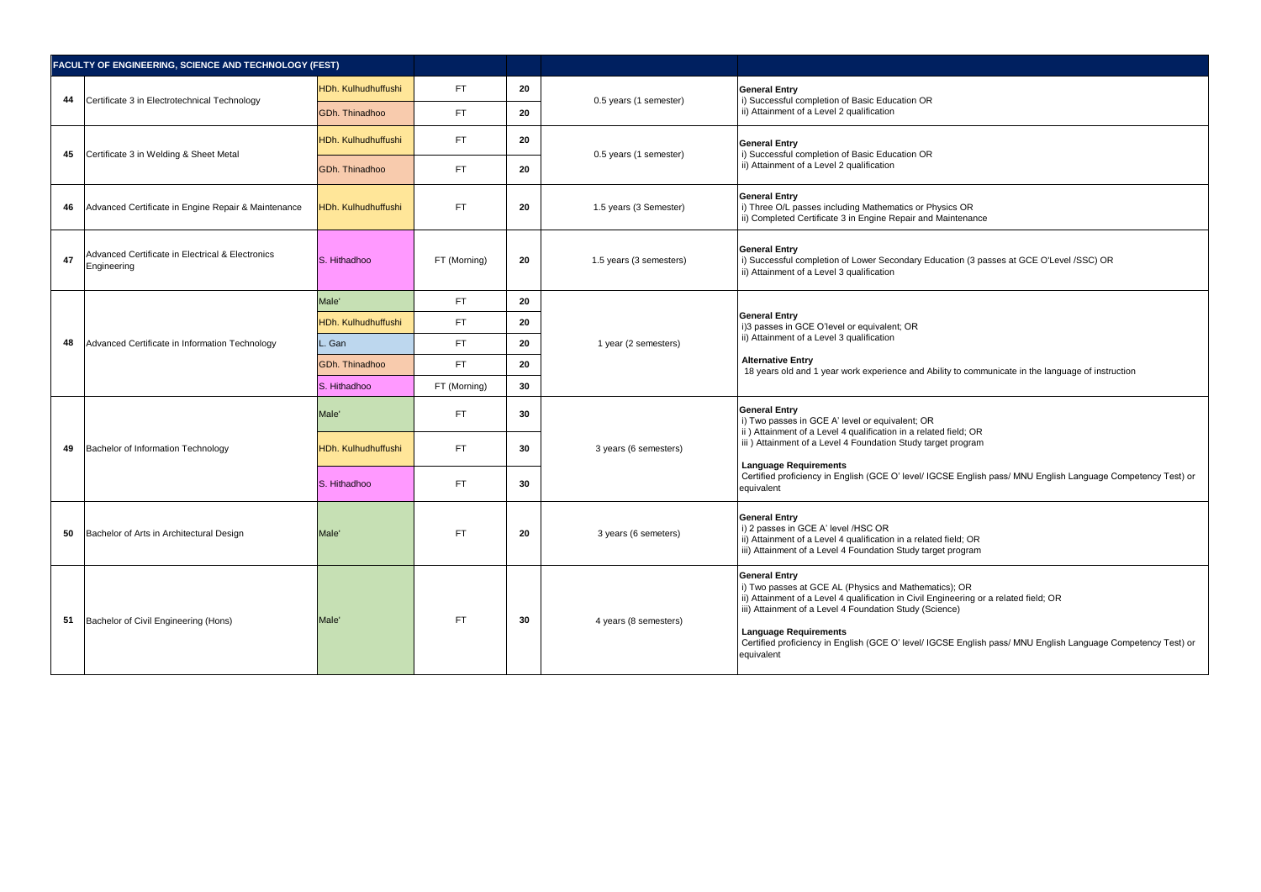| Certificate 3 in Electrotechnical Technology<br>Certificate 3 in Welding & Sheet Metal<br>Advanced Certificate in Engine Repair & Maintenance<br>Advanced Certificate in Electrical & Electronics<br>Engineering | HDh. Kulhudhuffushi<br>GDh. Thinadhoo<br>HDh. Kulhudhuffushi<br>GDh. Thinadhoo<br><b>HDh. Kulhudhuffushi</b> | FT.<br>FT.<br>FT.<br>FT.<br>FT. | 20<br>20<br>20<br>20 | 0.5 years (1 semester)<br>0.5 years (1 semester) | <b>General Entry</b><br>i) Successful completion of Basic Education OR<br>ii) Attainment of a Level 2 qualification<br><b>General Entry</b><br>i) Successful completion of Basic Education OR<br>ii) Attainment of a Level 2 qualification                                                                                                                                               |
|------------------------------------------------------------------------------------------------------------------------------------------------------------------------------------------------------------------|--------------------------------------------------------------------------------------------------------------|---------------------------------|----------------------|--------------------------------------------------|------------------------------------------------------------------------------------------------------------------------------------------------------------------------------------------------------------------------------------------------------------------------------------------------------------------------------------------------------------------------------------------|
|                                                                                                                                                                                                                  |                                                                                                              |                                 |                      |                                                  |                                                                                                                                                                                                                                                                                                                                                                                          |
|                                                                                                                                                                                                                  |                                                                                                              |                                 |                      |                                                  |                                                                                                                                                                                                                                                                                                                                                                                          |
|                                                                                                                                                                                                                  |                                                                                                              |                                 |                      |                                                  |                                                                                                                                                                                                                                                                                                                                                                                          |
|                                                                                                                                                                                                                  |                                                                                                              |                                 |                      |                                                  |                                                                                                                                                                                                                                                                                                                                                                                          |
|                                                                                                                                                                                                                  |                                                                                                              |                                 | 20                   | 1.5 years (3 Semester)                           | <b>General Entry</b><br>i) Three O/L passes including Mathematics or Physics OR<br>ii) Completed Certificate 3 in Engine Repair and Maintenance                                                                                                                                                                                                                                          |
|                                                                                                                                                                                                                  |                                                                                                              | FT (Morning)                    | 20                   | 1.5 years (3 semesters)                          | <b>General Entry</b><br>i) Successful completion of Lower Secondary Education (3 passes at GCE O'Level /SSC) OR<br>ii) Attainment of a Level 3 qualification                                                                                                                                                                                                                             |
|                                                                                                                                                                                                                  | Male <sup>'</sup>                                                                                            | FT.                             | 20                   |                                                  |                                                                                                                                                                                                                                                                                                                                                                                          |
| Advanced Certificate in Information Technology                                                                                                                                                                   | HDh. Kulhudhuffushi                                                                                          | FT.                             | 20                   | 1 year (2 semesters)                             | <b>General Entry</b><br>i)3 passes in GCE O'level or equivalent; OR                                                                                                                                                                                                                                                                                                                      |
|                                                                                                                                                                                                                  | Gan                                                                                                          | FT.                             | 20                   |                                                  | ii) Attainment of a Level 3 qualification                                                                                                                                                                                                                                                                                                                                                |
|                                                                                                                                                                                                                  | GDh. Thinadhoo                                                                                               | FT.                             | 20                   |                                                  | Alternative Entry<br>18 years old and 1 year work experience and Ability to communicate in the language of instruction                                                                                                                                                                                                                                                                   |
|                                                                                                                                                                                                                  | S. Hithadhoo                                                                                                 | FT (Morning)                    | 30                   |                                                  |                                                                                                                                                                                                                                                                                                                                                                                          |
|                                                                                                                                                                                                                  | Male <sup>'</sup>                                                                                            | FT.                             | 30                   | 3 years (6 semesters)                            | <b>General Entry</b><br>i) Two passes in GCE A' level or equivalent; OR                                                                                                                                                                                                                                                                                                                  |
| Bachelor of Information Technology                                                                                                                                                                               | HDh. Kulhudhuffushi                                                                                          | FT.                             | 30                   |                                                  | ii) Attainment of a Level 4 qualification in a related field; OR<br>iii) Attainment of a Level 4 Foundation Study target program                                                                                                                                                                                                                                                         |
|                                                                                                                                                                                                                  | S. Hithadhoo                                                                                                 | FT.                             | 30                   |                                                  | Language Requirements<br>Certified proficiency in English (GCE O' level/ IGCSE English pass/ MNU English Language Competency Test) or<br>equivalent                                                                                                                                                                                                                                      |
| Bachelor of Arts in Architectural Design                                                                                                                                                                         | Male'                                                                                                        | FT.                             | 20                   | 3 years (6 semeters)                             | <b>General Entry</b><br>i) 2 passes in GCE A' level /HSC OR<br>ii) Attainment of a Level 4 qualification in a related field; OR<br>iii) Attainment of a Level 4 Foundation Study target program                                                                                                                                                                                          |
| Bachelor of Civil Engineering (Hons)                                                                                                                                                                             | Male'                                                                                                        | FT.                             | 30                   | 4 years (8 semesters)                            | <b>General Entry</b><br>i) Two passes at GCE AL (Physics and Mathematics); OR<br>ii) Attainment of a Level 4 qualification in Civil Engineering or a related field; OR<br>iii) Attainment of a Level 4 Foundation Study (Science)<br>Language Requirements<br>Certified proficiency in English (GCE O' level/ IGCSE English pass/ MNU English Language Competency Test) or<br>equivalent |
|                                                                                                                                                                                                                  |                                                                                                              | S. Hithadhoo                    |                      |                                                  |                                                                                                                                                                                                                                                                                                                                                                                          |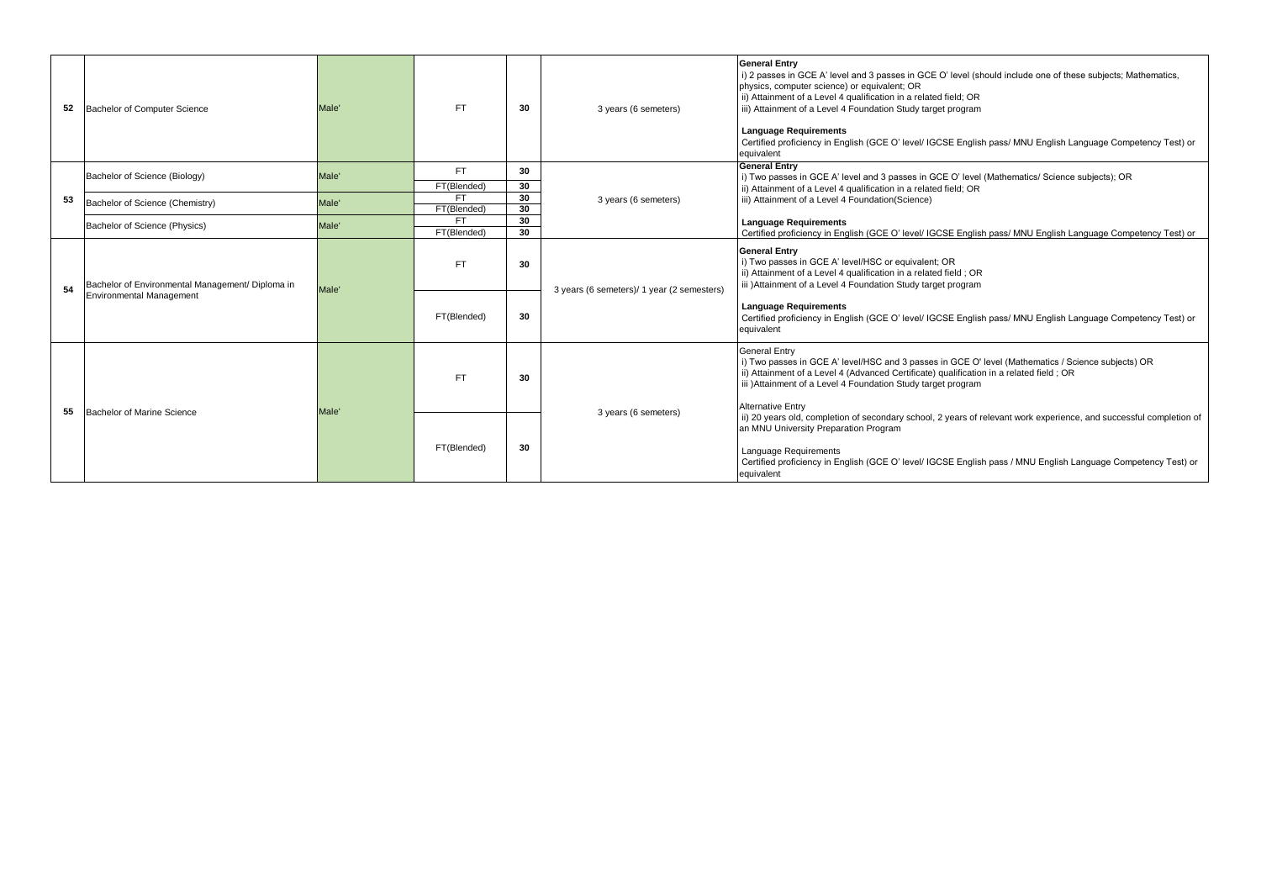| 52 | Bachelor of Computer Science                                                        | Male' | <b>FT</b>                | 30       | 3 years (6 semeters)                       | <b>General Entry</b><br>i) 2 passes in GCE A' level and 3 passes in GCE O' level (should include one of these subjects; Mathematics,<br>physics, computer science) or equivalent; OR<br>ii) Attainment of a Level 4 qualification in a related field; OR<br>iii) Attainment of a Level 4 Foundation Study target program<br><b>Language Requirements</b><br>Certified proficiency in English (GCE O' level/ IGCSE English pass/ MNU English Language Competency Test) or<br>equivalent |
|----|-------------------------------------------------------------------------------------|-------|--------------------------|----------|--------------------------------------------|----------------------------------------------------------------------------------------------------------------------------------------------------------------------------------------------------------------------------------------------------------------------------------------------------------------------------------------------------------------------------------------------------------------------------------------------------------------------------------------|
|    | Bachelor of Science (Biology)                                                       | Male' | FT.                      | 30       |                                            | <b>General Entry</b><br>i) Two passes in GCE A' level and 3 passes in GCE O' level (Mathematics/ Science subjects); OR                                                                                                                                                                                                                                                                                                                                                                 |
| 53 |                                                                                     | Male' | FT(Blended)<br><b>FT</b> | 30<br>30 | 3 years (6 semeters)                       | ii) Attainment of a Level 4 qualification in a related field; OR<br>iii) Attainment of a Level 4 Foundation(Science)                                                                                                                                                                                                                                                                                                                                                                   |
|    | Bachelor of Science (Chemistry)                                                     |       | FT(Blended)              | 30       |                                            |                                                                                                                                                                                                                                                                                                                                                                                                                                                                                        |
|    | Bachelor of Science (Physics)                                                       | Male' | <b>FT</b><br>FT(Blended) | 30<br>30 |                                            | <b>Language Requirements</b><br>Certified proficiency in English (GCE O' level/ IGCSE English pass/ MNU English Language Competency Test) or                                                                                                                                                                                                                                                                                                                                           |
| 54 | Bachelor of Environmental Management/ Diploma in<br><b>Environmental Management</b> | Male' | <b>FT</b><br>FT(Blended) | 30<br>30 | 3 years (6 semeters)/ 1 year (2 semesters) | <b>General Entry</b><br>i) Two passes in GCE A' level/HSC or equivalent; OR<br>ii) Attainment of a Level 4 qualification in a related field; OR<br>iii )Attainment of a Level 4 Foundation Study target program<br><b>Language Requirements</b><br>Certified proficiency in English (GCE O' level/ IGCSE English pass/ MNU English Language Competency Test) or<br>equivalent                                                                                                          |
| 55 | Bachelor of Marine Science                                                          | Male' | <b>FT</b>                | 30       | 3 years (6 semeters)                       | <b>General Entry</b><br>i) Two passes in GCE A' level/HSC and 3 passes in GCE O' level (Mathematics / Science subjects) OR<br>ii) Attainment of a Level 4 (Advanced Certificate) qualification in a related field; OR<br>iii) Attainment of a Level 4 Foundation Study target program<br><b>Alternative Entry</b>                                                                                                                                                                      |
|    |                                                                                     |       | FT(Blended)              | 30       |                                            | ii) 20 years old, completion of secondary school, 2 years of relevant work experience, and successful completion of<br>an MNU University Preparation Program<br>Language Requirements<br>Certified proficiency in English (GCE O' level/ IGCSE English pass / MNU English Language Competency Test) or<br>equivalent                                                                                                                                                                   |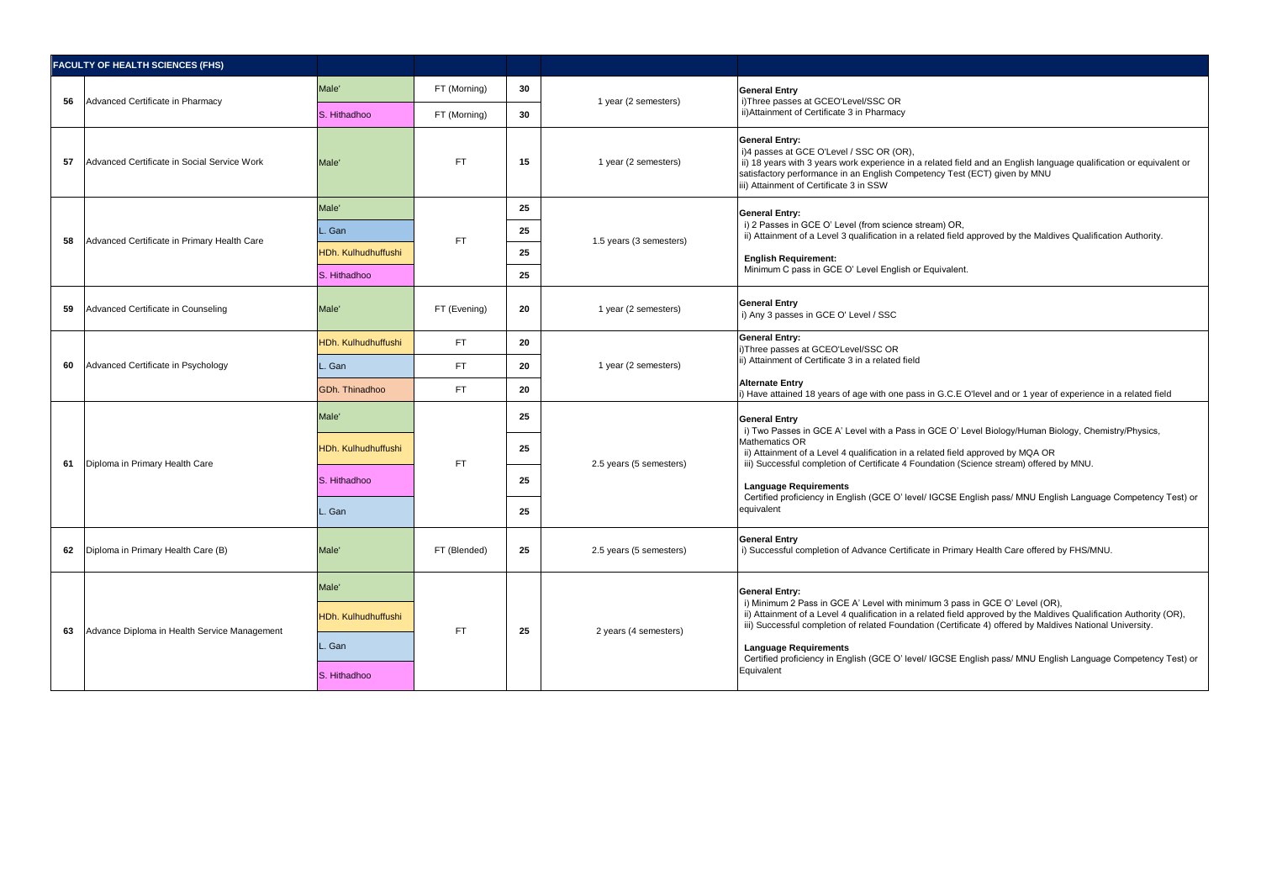|    | <b>FACULTY OF HEALTH SCIENCES (FHS)</b>      |                                     |                              |          |                         |                                                                                                                                                                                                                                                                                                                             |
|----|----------------------------------------------|-------------------------------------|------------------------------|----------|-------------------------|-----------------------------------------------------------------------------------------------------------------------------------------------------------------------------------------------------------------------------------------------------------------------------------------------------------------------------|
|    |                                              | Male'                               | FT (Morning)                 | 30       |                         | <b>General Entry</b>                                                                                                                                                                                                                                                                                                        |
| 56 | Advanced Certificate in Pharmacy             | S. Hithadhoo                        | FT (Morning)                 | 30       | 1 year (2 semesters)    | i)Three passes at GCEO'Level/SSC OR<br>ii) Attainment of Certificate 3 in Pharmacy                                                                                                                                                                                                                                          |
| 57 | Advanced Certificate in Social Service Work  | Male'                               | <b>FT</b>                    | 15       | 1 year (2 semesters)    | <b>General Entry:</b><br>i)4 passes at GCE O'Level / SSC OR (OR),<br>ii) 18 years with 3 years work experience in a related field and an English language qualification or equivalent or<br>satisfactory performance in an English Competency Test (ECT) given by MNU<br>iii) Attainment of Certificate 3 in SSW            |
|    |                                              | Male <sup>'</sup>                   |                              | 25       |                         | <b>General Entry:</b>                                                                                                                                                                                                                                                                                                       |
| 58 | Advanced Certificate in Primary Health Care  | Gan                                 | <b>FT</b>                    | 25       | 1.5 years (3 semesters) | i) 2 Passes in GCE O' Level (from science stream) OR,<br>ii) Attainment of a Level 3 qualification in a related field approved by the Maldives Qualification Authority.                                                                                                                                                     |
|    |                                              | HDh. Kulhudhuffushi<br>S. Hithadhoo |                              | 25<br>25 |                         | <b>English Requirement:</b><br>Minimum C pass in GCE O' Level English or Equivalent.                                                                                                                                                                                                                                        |
| 59 | Advanced Certificate in Counseling           | Male'                               | FT (Evening)                 | 20       | 1 year (2 semesters)    | <b>General Entry</b><br>i) Any 3 passes in GCE O' Level / SSC                                                                                                                                                                                                                                                               |
|    | Advanced Certificate in Psychology           | HDh. Kulhudhuffushi                 | FT.<br>20<br><b>FT</b><br>20 |          |                         | <b>General Entry:</b><br>i)Three passes at GCEO'Level/SSC OR<br>ii) Attainment of Certificate 3 in a related field                                                                                                                                                                                                          |
| 60 |                                              | Gan                                 |                              |          | 1 year (2 semesters)    |                                                                                                                                                                                                                                                                                                                             |
|    |                                              | GDh. Thinadhoo                      | FT.                          | 20       |                         | <b>Alternate Entry</b><br>i) Have attained 18 years of age with one pass in G.C.E O'level and or 1 year of experience in a related field                                                                                                                                                                                    |
|    |                                              | Male'                               | <b>FT</b>                    | 25       | 2.5 years (5 semesters) | <b>General Entry</b><br>i) Two Passes in GCE A' Level with a Pass in GCE O' Level Biology/Human Biology, Chemistry/Physics,<br>Mathematics OR<br>ii) Attainment of a Level 4 qualification in a related field approved by MQA OR<br>iii) Successful completion of Certificate 4 Foundation (Science stream) offered by MNU. |
| 61 | Diploma in Primary Health Care               | HDh. Kulhudhuffushi                 |                              | 25       |                         |                                                                                                                                                                                                                                                                                                                             |
|    |                                              | S. Hithadhoo                        |                              | 25       |                         | <b>Language Requirements</b><br>Certified proficiency in English (GCE O' level/ IGCSE English pass/ MNU English Language Competency Test) or<br>equivalent                                                                                                                                                                  |
|    |                                              | . Gan                               |                              | 25       |                         |                                                                                                                                                                                                                                                                                                                             |
| 62 | Diploma in Primary Health Care (B)           | Male'                               | FT (Blended)                 | 25       | 2.5 years (5 semesters) | <b>General Entry</b><br>i) Successful completion of Advance Certificate in Primary Health Care offered by FHS/MNU.                                                                                                                                                                                                          |
|    |                                              | Male'                               |                              |          |                         | <b>General Entry:</b>                                                                                                                                                                                                                                                                                                       |
| 63 | Advance Diploma in Health Service Management | HDh. Kulhudhuffushi                 | <b>FT</b>                    | 25       | 2 years (4 semesters)   | i) Minimum 2 Pass in GCE A' Level with minimum 3 pass in GCE O' Level (OR),<br>ii) Attainment of a Level 4 qualification in a related field approved by the Maldives Qualification Authority (OR),<br>iii) Successful completion of related Foundation (Certificate 4) offered by Maldives National University.             |
|    |                                              | Gan                                 |                              |          |                         | <b>Language Requirements</b>                                                                                                                                                                                                                                                                                                |
|    |                                              | S. Hithadhoo                        |                              |          |                         | Certified proficiency in English (GCE O' level/ IGCSE English pass/ MNU English Language Competency Test) or<br>Equivalent                                                                                                                                                                                                  |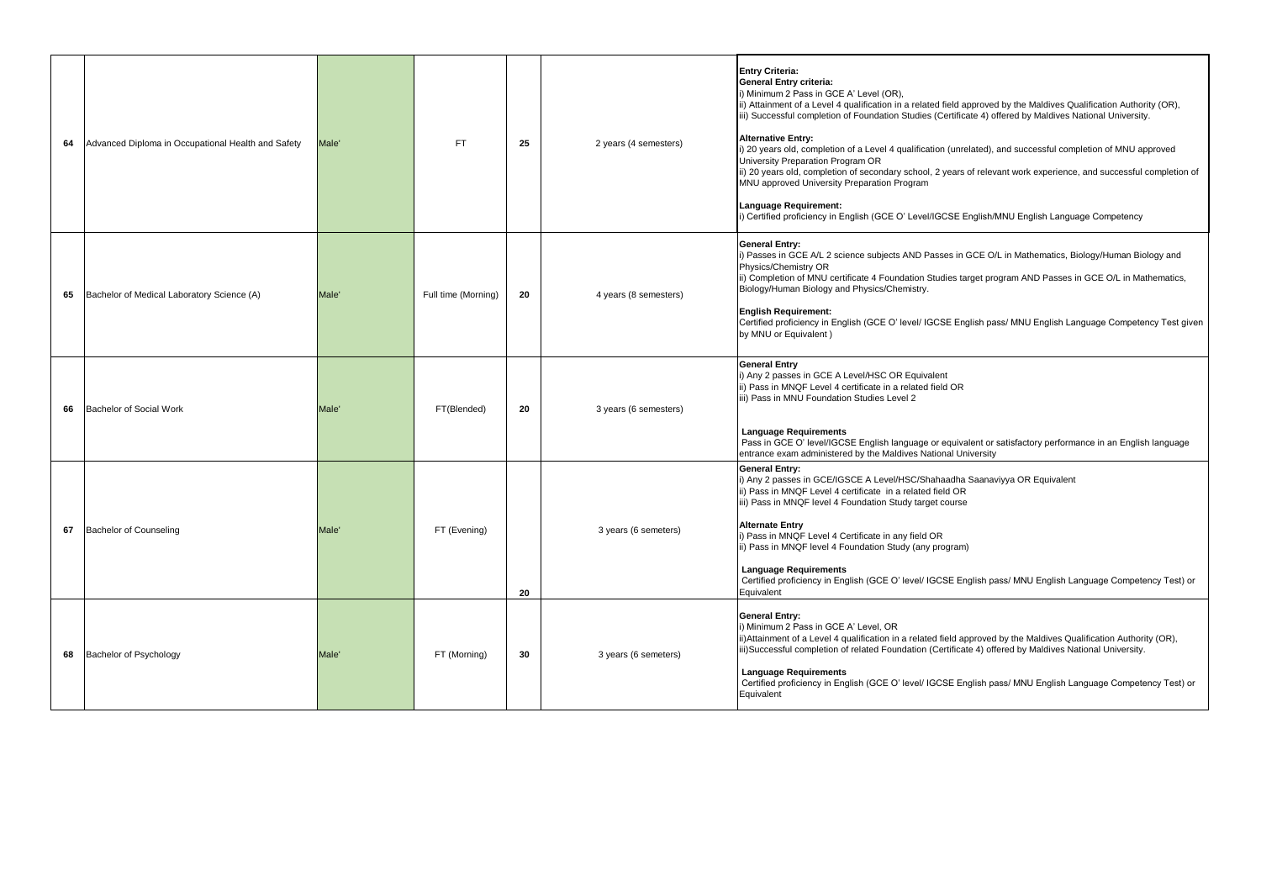| 64 | Advanced Diploma in Occupational Health and Safety | Male' | FT.                 | 25 | 2 years (4 semesters) | <b>Entry Criteria:</b><br>General Entry criteria:<br>i) Minimum 2 Pass in GCE A' Level (OR),<br>ii) Attainment of a Level 4 qualification in a related field approved by the Maldives Qualification Authority (OR),<br>iii) Successful completion of Foundation Studies (Certificate 4) offered by Maldives National University.<br><b>Alternative Entry:</b><br>i) 20 years old, completion of a Level 4 qualification (unrelated), and successful completion of MNU approved<br>University Preparation Program OR<br>ii) 20 years old, completion of secondary school, 2 years of relevant work experience, and successful completion of<br>MNU approved University Preparation Program<br>Language Requirement:<br>i) Certified proficiency in English (GCE O' Level/IGCSE English/MNU English Language Competency |
|----|----------------------------------------------------|-------|---------------------|----|-----------------------|-----------------------------------------------------------------------------------------------------------------------------------------------------------------------------------------------------------------------------------------------------------------------------------------------------------------------------------------------------------------------------------------------------------------------------------------------------------------------------------------------------------------------------------------------------------------------------------------------------------------------------------------------------------------------------------------------------------------------------------------------------------------------------------------------------------------------|
| 65 | Bachelor of Medical Laboratory Science (A)         | Male' | Full time (Morning) | 20 | 4 years (8 semesters) | <b>General Entry:</b><br>i) Passes in GCE A/L 2 science subjects AND Passes in GCE O/L in Mathematics, Biology/Human Biology and<br>Physics/Chemistry OR<br>ii) Completion of MNU certificate 4 Foundation Studies target program AND Passes in GCE O/L in Mathematics,<br>Biology/Human Biology and Physics/Chemistry.<br><b>English Requirement:</b><br>Certified proficiency in English (GCE O' level/ IGCSE English pass/ MNU English Language Competency Test given<br>by MNU or Equivalent)                                                                                                                                                                                                                                                                                                                     |
| 66 | Bachelor of Social Work                            | Male' | FT(Blended)         | 20 | 3 years (6 semesters) | <b>General Entry</b><br>i) Any 2 passes in GCE A Level/HSC OR Equivalent<br>ii) Pass in MNQF Level 4 certificate in a related field OR<br>iii) Pass in MNU Foundation Studies Level 2<br><b>Language Requirements</b><br>Pass in GCE O' level/IGCSE English language or equivalent or satisfactory performance in an English language<br>entrance exam administered by the Maldives National University                                                                                                                                                                                                                                                                                                                                                                                                               |
| 67 | <b>Bachelor of Counseling</b>                      | Male' | FT (Evening)        | 20 | 3 years (6 semeters)  | <b>General Entry:</b><br>i) Any 2 passes in GCE/IGSCE A Level/HSC/Shahaadha Saanaviyya OR Equivalent<br>ii) Pass in MNQF Level 4 certificate in a related field OR<br>iii) Pass in MNQF level 4 Foundation Study target course<br><b>Alternate Entry</b><br>i) Pass in MNQF Level 4 Certificate in any field OR<br>ii) Pass in MNQF level 4 Foundation Study (any program)<br><b>Language Requirements</b><br>Certified proficiency in English (GCE O' level/ IGCSE English pass/ MNU English Language Competency Test) or<br>Equivalent                                                                                                                                                                                                                                                                              |
| 68 | Bachelor of Psychology                             | Male' | FT (Morning)        | 30 | 3 years (6 semeters)  | <b>General Entry:</b><br>i) Minimum 2 Pass in GCE A' Level, OR<br>ii) Attainment of a Level 4 qualification in a related field approved by the Maldives Qualification Authority (OR),<br>iii)Successful completion of related Foundation (Certificate 4) offered by Maldives National University.<br><b>Language Requirements</b><br>Certified proficiency in English (GCE O' level/ IGCSE English pass/ MNU English Language Competency Test) or<br>Equivalent                                                                                                                                                                                                                                                                                                                                                       |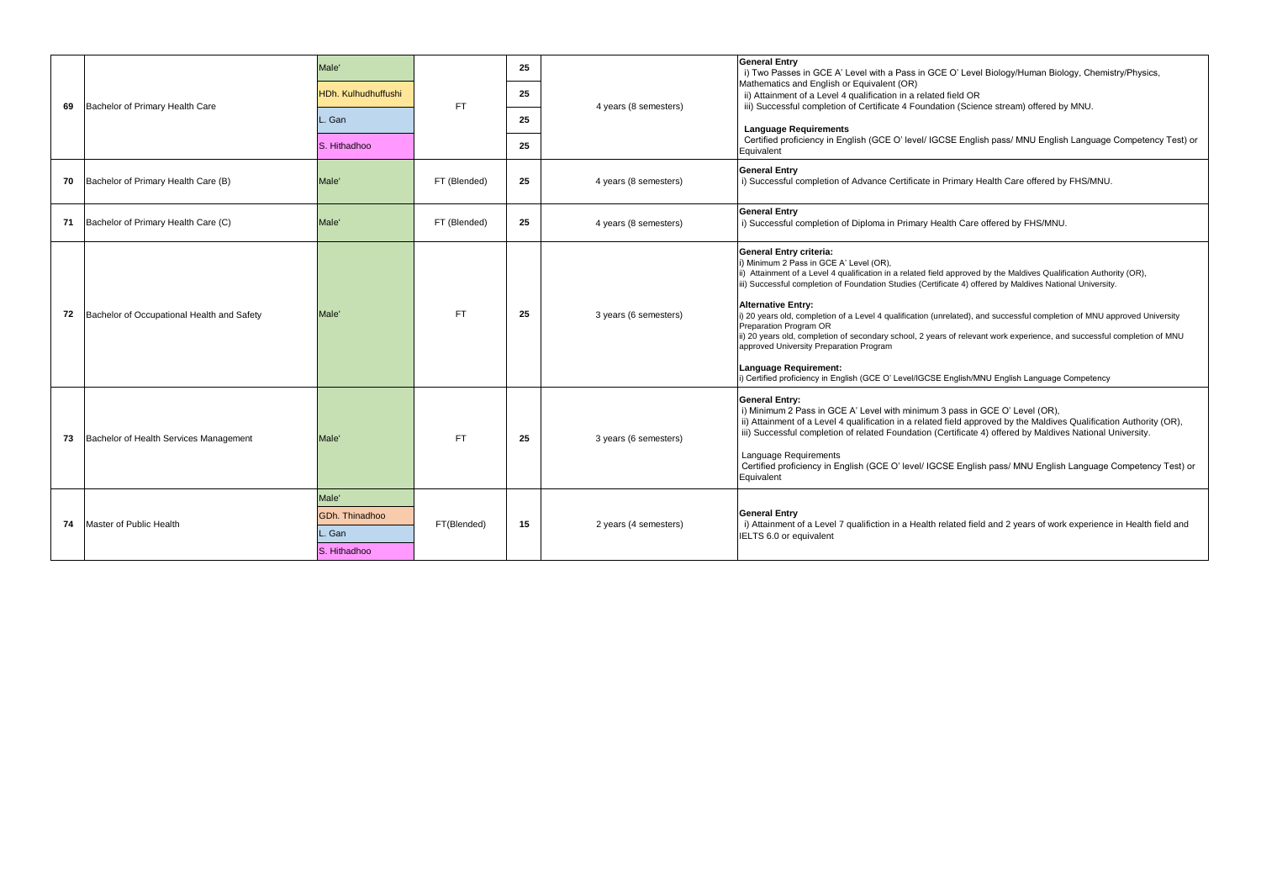|    |                                            | Male'                                                        | <b>FT</b>    | 25 |                       | <b>General Entry</b><br>i) Two Passes in GCE A' Level with a Pass in GCE O' Level Biology/Human Biology, Chemistry/Physics,                                                                                                                                                                                                                                                                                                                                                                                                                                                                                                                                                                                                                                                                 |
|----|--------------------------------------------|--------------------------------------------------------------|--------------|----|-----------------------|---------------------------------------------------------------------------------------------------------------------------------------------------------------------------------------------------------------------------------------------------------------------------------------------------------------------------------------------------------------------------------------------------------------------------------------------------------------------------------------------------------------------------------------------------------------------------------------------------------------------------------------------------------------------------------------------------------------------------------------------------------------------------------------------|
| 69 | Bachelor of Primary Health Care            | HDh. Kulhudhuffushi                                          |              | 25 | 4 years (8 semesters) | Mathematics and English or Equivalent (OR)<br>ii) Attainment of a Level 4 qualification in a related field OR<br>iii) Successful completion of Certificate 4 Foundation (Science stream) offered by MNU.                                                                                                                                                                                                                                                                                                                                                                                                                                                                                                                                                                                    |
|    |                                            | Gan                                                          |              | 25 |                       | <b>Language Requirements</b>                                                                                                                                                                                                                                                                                                                                                                                                                                                                                                                                                                                                                                                                                                                                                                |
|    |                                            | S. Hithadhoo                                                 |              | 25 |                       | Certified proficiency in English (GCE O' level/ IGCSE English pass/ MNU English Language Competency Test) or<br>Equivalent                                                                                                                                                                                                                                                                                                                                                                                                                                                                                                                                                                                                                                                                  |
| 70 | Bachelor of Primary Health Care (B)        | Male'                                                        | FT (Blended) | 25 | 4 years (8 semesters) | <b>General Entry</b><br>i) Successful completion of Advance Certificate in Primary Health Care offered by FHS/MNU.                                                                                                                                                                                                                                                                                                                                                                                                                                                                                                                                                                                                                                                                          |
| 71 | Bachelor of Primary Health Care (C)        | Male'                                                        | FT (Blended) | 25 | 4 years (8 semesters) | <b>General Entry</b><br>i) Successful completion of Diploma in Primary Health Care offered by FHS/MNU.                                                                                                                                                                                                                                                                                                                                                                                                                                                                                                                                                                                                                                                                                      |
| 72 | Bachelor of Occupational Health and Safety | Male'                                                        | FT.          | 25 | 3 years (6 semesters) | General Entry criteria:<br>i) Minimum 2 Pass in GCE A' Level (OR),<br>ii) Attainment of a Level 4 qualification in a related field approved by the Maldives Qualification Authority (OR),<br>iii) Successful completion of Foundation Studies (Certificate 4) offered by Maldives National University.<br><b>Alternative Entry:</b><br>i) 20 years old, completion of a Level 4 qualification (unrelated), and successful completion of MNU approved University<br>Preparation Program OR<br>ii) 20 years old, completion of secondary school, 2 years of relevant work experience, and successful completion of MNU<br>approved University Preparation Program<br>Language Requirement:<br>i) Certified proficiency in English (GCE O' Level/IGCSE English/MNU English Language Competency |
| 73 | Bachelor of Health Services Management     | Male'                                                        | FT.          | 25 | 3 years (6 semesters) | <b>General Entry:</b><br>i) Minimum 2 Pass in GCE A' Level with minimum 3 pass in GCE O' Level (OR),<br>ii) Attainment of a Level 4 qualification in a related field approved by the Maldives Qualification Authority (OR),<br>iii) Successful completion of related Foundation (Certificate 4) offered by Maldives National University.<br>Language Requirements<br>Certified proficiency in English (GCE O' level/ IGCSE English pass/ MNU English Language Competency Test) or<br>Equivalent                                                                                                                                                                                                                                                                                             |
| 74 | Master of Public Health                    | Male <sup>'</sup><br>GDh. Thinadhoo<br>. Gan<br>S. Hithadhoo | FT(Blended)  | 15 | 2 years (4 semesters) | <b>General Entry</b><br>i) Attainment of a Level 7 qualifiction in a Health related field and 2 years of work experience in Health field and<br>IELTS 6.0 or equivalent                                                                                                                                                                                                                                                                                                                                                                                                                                                                                                                                                                                                                     |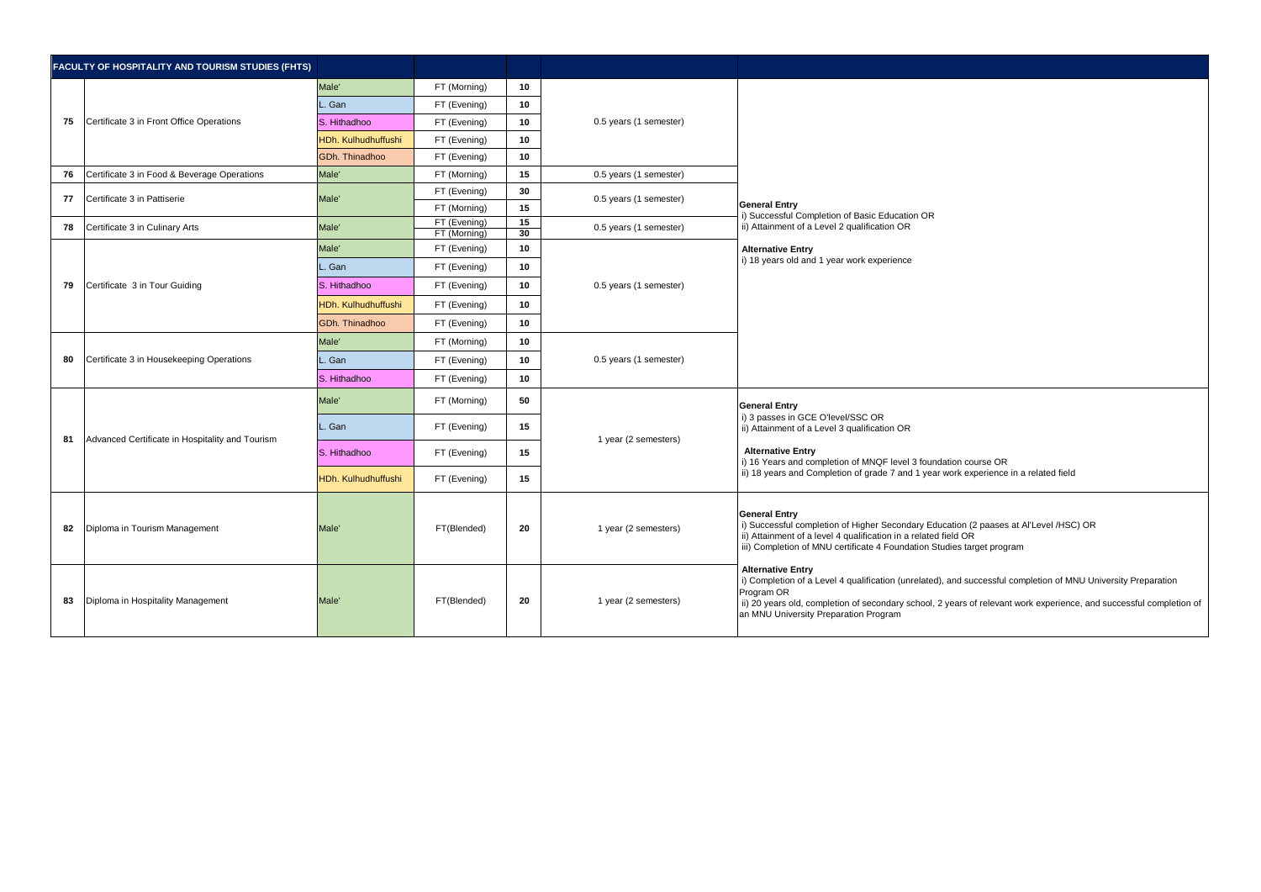|    | FACULTY OF HOSPITALITY AND TOURISM STUDIES (FHTS) |                     |                              |          |                        |                                                                                                                                                                                                                                                                                                                         |
|----|---------------------------------------------------|---------------------|------------------------------|----------|------------------------|-------------------------------------------------------------------------------------------------------------------------------------------------------------------------------------------------------------------------------------------------------------------------------------------------------------------------|
|    |                                                   | Male'               | FT (Morning)                 | 10       |                        |                                                                                                                                                                                                                                                                                                                         |
|    |                                                   | Gan                 | FT (Evening)                 | 10       |                        |                                                                                                                                                                                                                                                                                                                         |
| 75 | Certificate 3 in Front Office Operations          | S. Hithadhoo        | FT (Evening)                 | 10       | 0.5 years (1 semester) |                                                                                                                                                                                                                                                                                                                         |
|    |                                                   | HDh. Kulhudhuffushi | FT (Evening)                 | 10       |                        |                                                                                                                                                                                                                                                                                                                         |
|    |                                                   | GDh. Thinadhoo      | FT (Evening)                 | 10       |                        |                                                                                                                                                                                                                                                                                                                         |
| 76 | Certificate 3 in Food & Beverage Operations       | Male'               | FT (Morning)                 | 15       | 0.5 years (1 semester) |                                                                                                                                                                                                                                                                                                                         |
| 77 | Certificate 3 in Pattiserie                       | Male'               | FT (Evening)                 | 30       | 0.5 years (1 semester) |                                                                                                                                                                                                                                                                                                                         |
|    |                                                   |                     | FT (Morning)                 | 15       |                        | <b>General Entry</b><br>i) Successful Completion of Basic Education OR                                                                                                                                                                                                                                                  |
| 78 | Certificate 3 in Culinary Arts                    | Male'               | FT (Evening)<br>FT (Morning) | 15<br>30 | 0.5 years (1 semester) | ii) Attainment of a Level 2 qualification OR                                                                                                                                                                                                                                                                            |
|    |                                                   | Male'               | FT (Evening)                 | 10       |                        | <b>Alternative Entry</b>                                                                                                                                                                                                                                                                                                |
|    | Certificate 3 in Tour Guiding                     | Gan                 | FT (Evening)                 | 10       |                        | i) 18 years old and 1 year work experience                                                                                                                                                                                                                                                                              |
| 79 |                                                   | S. Hithadhoo        | FT (Evening)                 | 10       | 0.5 years (1 semester) |                                                                                                                                                                                                                                                                                                                         |
|    |                                                   | HDh. Kulhudhuffushi | FT (Evening)                 | 10       |                        |                                                                                                                                                                                                                                                                                                                         |
|    |                                                   | GDh. Thinadhoo      | FT (Evening)                 | 10       |                        |                                                                                                                                                                                                                                                                                                                         |
| 80 | Certificate 3 in Housekeeping Operations          | Male'               | FT (Morning)                 | 10       | 0.5 years (1 semester) |                                                                                                                                                                                                                                                                                                                         |
|    |                                                   | Gan                 | FT (Evening)                 | 10       |                        |                                                                                                                                                                                                                                                                                                                         |
|    |                                                   | S. Hithadhoo        | FT (Evening)                 | 10       |                        |                                                                                                                                                                                                                                                                                                                         |
|    |                                                   | Male'               | FT (Morning)                 | 50       |                        | <b>General Entry</b><br>i) 3 passes in GCE O'level/SSC OR<br>ii) Attainment of a Level 3 qualification OR<br><b>Alternative Entry</b><br>i) 16 Years and completion of MNQF level 3 foundation course OR<br>ii) 18 years and Completion of grade 7 and 1 year work experience in a related field                        |
|    |                                                   | Gan                 | FT (Evening)                 | 15       |                        |                                                                                                                                                                                                                                                                                                                         |
| 81 | Advanced Certificate in Hospitality and Tourism   | S. Hithadhoo        | FT (Evening)                 | 15       | 1 year (2 semesters)   |                                                                                                                                                                                                                                                                                                                         |
|    |                                                   | HDh. Kulhudhuffushi | FT (Evening)                 | 15       |                        |                                                                                                                                                                                                                                                                                                                         |
| 82 | Diploma in Tourism Management                     | Male'               | FT(Blended)                  | 20       | 1 year (2 semesters)   | <b>General Entry</b><br>i) Successful completion of Higher Secondary Education (2 paases at Al'Level /HSC) OR<br>ii) Attainment of a level 4 qualification in a related field OR<br>iii) Completion of MNU certificate 4 Foundation Studies target program                                                              |
| 83 | Diploma in Hospitality Management                 | Male'               | FT(Blended)                  | 20       | 1 year (2 semesters)   | <b>Alternative Entry</b><br>i) Completion of a Level 4 qualification (unrelated), and successful completion of MNU University Preparation<br>Program OR<br>ii) 20 years old, completion of secondary school, 2 years of relevant work experience, and successful completion of<br>an MNU University Preparation Program |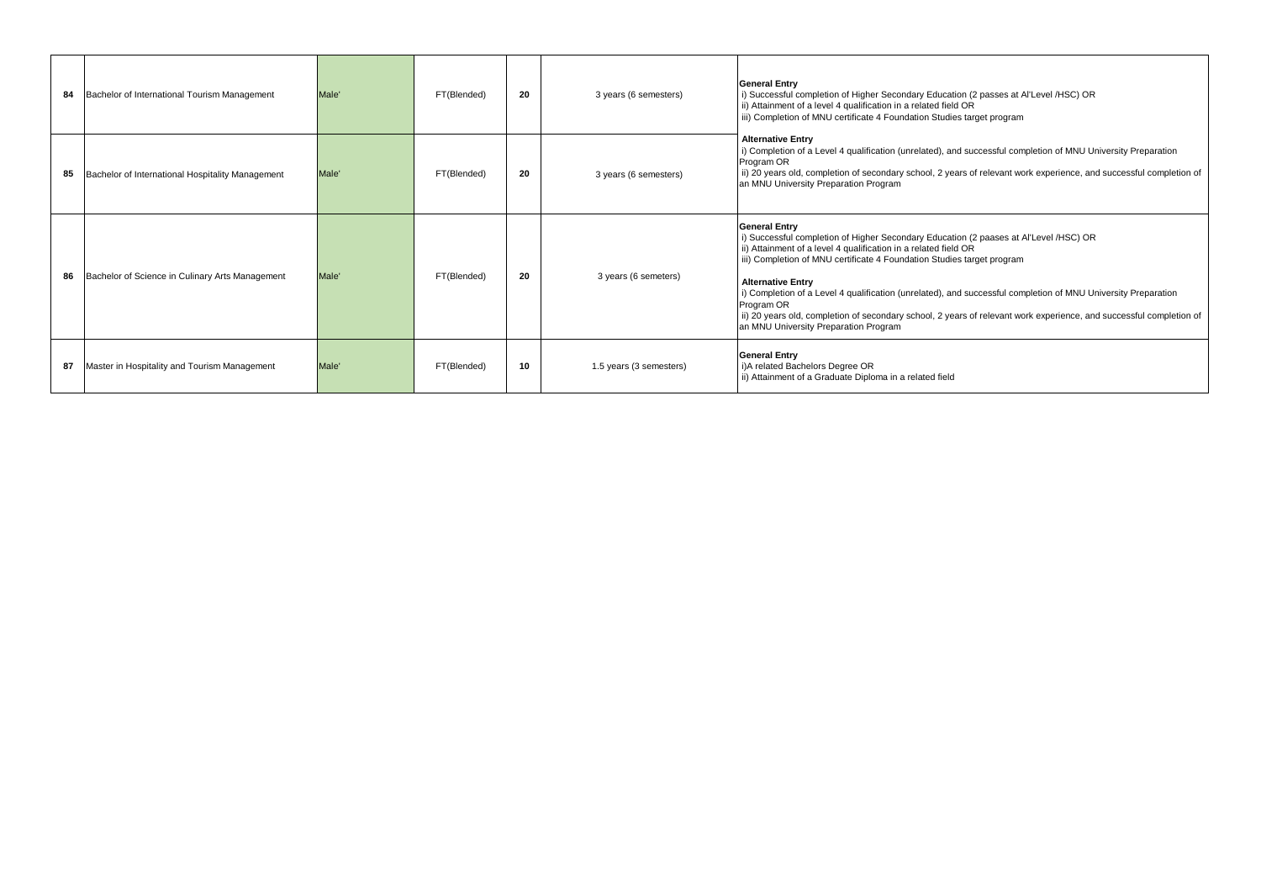| 84 | Bachelor of International Tourism Management     | Male <sup>'</sup> | FT(Blended) | 20 | 3 years (6 semesters)   | <b>General Entry</b><br>i) Successful completion of Higher Secondary Education (2 passes at Al'Level /HSC) OR<br>ii) Attainment of a level 4 qualification in a related field OR<br>iii) Completion of MNU certificate 4 Foundation Studies target program                                                                                                                                                                                                                                                                                                                            |
|----|--------------------------------------------------|-------------------|-------------|----|-------------------------|---------------------------------------------------------------------------------------------------------------------------------------------------------------------------------------------------------------------------------------------------------------------------------------------------------------------------------------------------------------------------------------------------------------------------------------------------------------------------------------------------------------------------------------------------------------------------------------|
| 85 | Bachelor of International Hospitality Management | Male'             | FT(Blended) | 20 | 3 years (6 semesters)   | <b>Alternative Entry</b><br>i) Completion of a Level 4 qualification (unrelated), and successful completion of MNU University Preparation<br>Program OR<br>ii) 20 years old, completion of secondary school, 2 years of relevant work experience, and successful completion of<br>an MNU University Preparation Program                                                                                                                                                                                                                                                               |
| 86 | Bachelor of Science in Culinary Arts Management  | Male <sup>'</sup> | FT(Blended) | 20 | 3 years (6 semeters)    | <b>General Entry</b><br>i) Successful completion of Higher Secondary Education (2 paases at Al'Level /HSC) OR<br>ii) Attainment of a level 4 qualification in a related field OR<br>iii) Completion of MNU certificate 4 Foundation Studies target program<br><b>Alternative Entry</b><br>i) Completion of a Level 4 qualification (unrelated), and successful completion of MNU University Preparation<br>Program OR<br>ii) 20 years old, completion of secondary school, 2 years of relevant work experience, and successful completion of<br>an MNU University Preparation Program |
| 87 | Master in Hospitality and Tourism Management     | Male <sup>'</sup> | FT(Blended) | 10 | 1.5 years (3 semesters) | <b>General Entry</b><br>i)A related Bachelors Degree OR<br>ii) Attainment of a Graduate Diploma in a related field                                                                                                                                                                                                                                                                                                                                                                                                                                                                    |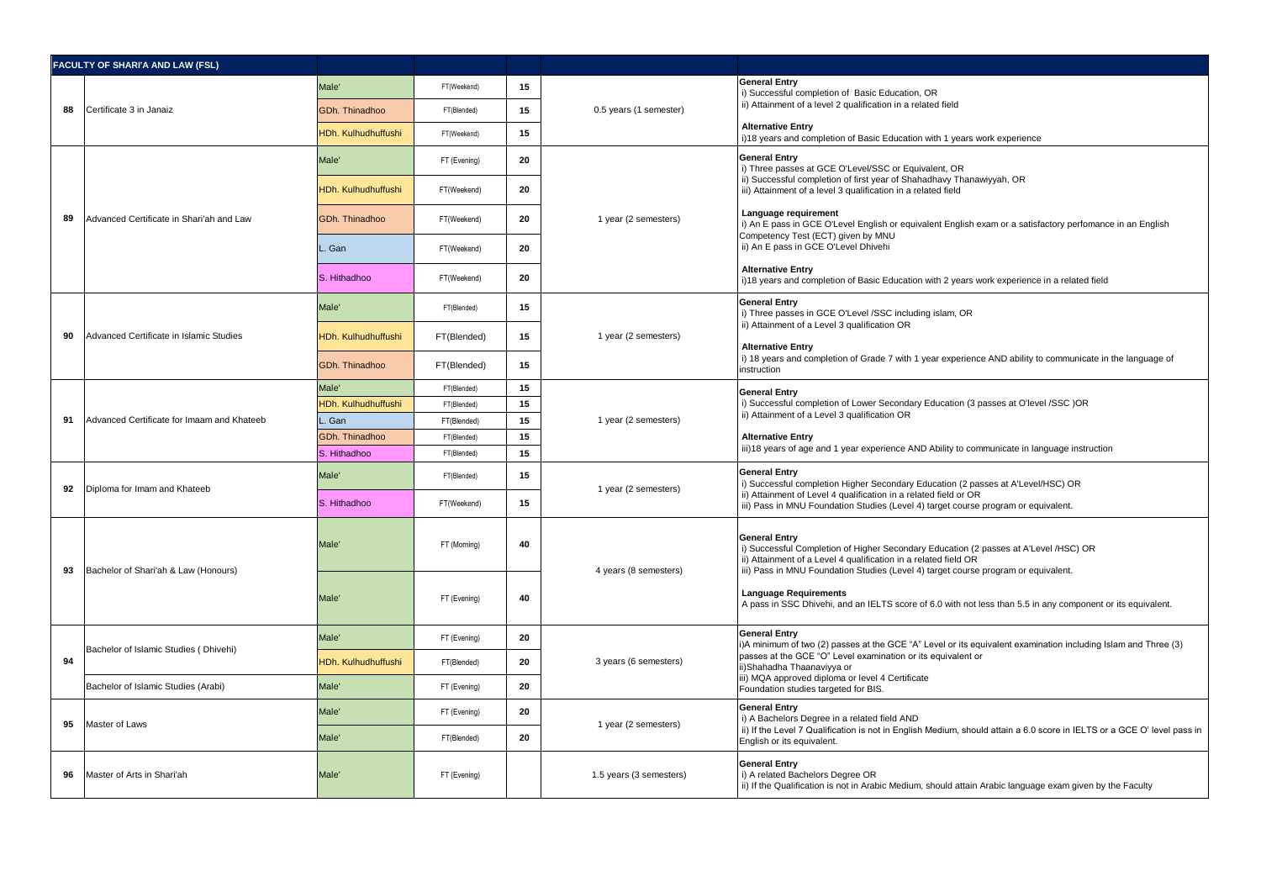|    | <b>FACULTY OF SHARI'A AND LAW (FSL)</b>                |                                       |                            |                       |                                                                                                                                                                                                                                                                       |                                                                                                                                                                                                                                                                    |
|----|--------------------------------------------------------|---------------------------------------|----------------------------|-----------------------|-----------------------------------------------------------------------------------------------------------------------------------------------------------------------------------------------------------------------------------------------------------------------|--------------------------------------------------------------------------------------------------------------------------------------------------------------------------------------------------------------------------------------------------------------------|
|    | Certificate 3 in Janaiz                                | Male'                                 | FT(Weekend)                | 15                    |                                                                                                                                                                                                                                                                       | <b>General Entry</b><br>i) Successful completion of Basic Education, OR<br>ii) Attainment of a level 2 qualification in a related field                                                                                                                            |
| 88 |                                                        | GDh. Thinadhoo                        | FT(Blended)                | 15                    | 0.5 years (1 semester)                                                                                                                                                                                                                                                |                                                                                                                                                                                                                                                                    |
|    |                                                        |                                       |                            |                       |                                                                                                                                                                                                                                                                       | <b>Alternative Entry</b>                                                                                                                                                                                                                                           |
|    |                                                        | <b>IDh. Kulhudhuffushi</b>            | FT(Weekend)                | 15                    |                                                                                                                                                                                                                                                                       | i)18 years and completion of Basic Education with 1 years work experience                                                                                                                                                                                          |
|    |                                                        | Male'                                 | FT (Evening)               | 20                    |                                                                                                                                                                                                                                                                       | <b>General Entry</b><br>i) Three passes at GCE O'Level/SSC or Equivalent, OR<br>ii) Successful completion of first year of Shahadhavy Thanawiyyah, OR<br>iii) Attainment of a level 3 qualification in a related field                                             |
|    |                                                        | <b>IDh. Kulhudhuffushi</b>            | FT(Weekend)                | 20                    |                                                                                                                                                                                                                                                                       |                                                                                                                                                                                                                                                                    |
| 89 | Advanced Certificate in Shari'ah and Law               | GDh. Thinadhoo                        | FT(Weekend)                | 20                    | 1 year (2 semesters)                                                                                                                                                                                                                                                  | Language requirement<br>i) An E pass in GCE O'Level English or equivalent English exam or a satisfactory perfomance in an English<br>Competency Test (ECT) given by MNU                                                                                            |
|    |                                                        | Gan                                   | FT(Weekend)                | 20                    |                                                                                                                                                                                                                                                                       | ii) An E pass in GCE O'Level Dhivehi                                                                                                                                                                                                                               |
|    |                                                        | S. Hithadhoo                          | FT(Weekend)                | 20                    |                                                                                                                                                                                                                                                                       | <b>Alternative Entry</b><br>i)18 years and completion of Basic Education with 2 years work experience in a related field                                                                                                                                           |
|    |                                                        | Male'                                 | FT(Blended)                | 15                    |                                                                                                                                                                                                                                                                       | <b>General Entry</b><br>i) Three passes in GCE O'Level /SSC including islam, OR<br>ii) Attainment of a Level 3 qualification OR                                                                                                                                    |
| 90 | Advanced Certificate in Islamic Studies                | <b>IDh. Kulhudhuffushi</b>            | FT(Blended)                | 15                    | 1 year (2 semesters)                                                                                                                                                                                                                                                  | <b>Alternative Entry</b>                                                                                                                                                                                                                                           |
|    |                                                        | GDh. Thinadhoo                        | FT(Blended)                | 15                    |                                                                                                                                                                                                                                                                       | i) 18 years and completion of Grade 7 with 1 year experience AND ability to communicate in the language of<br>instruction                                                                                                                                          |
| 91 | Advanced Certificate for Imaam and Khateeb             | Male <sup>®</sup>                     | FT(Blended)                | 15                    |                                                                                                                                                                                                                                                                       | <b>General Entry</b><br>i) Successful completion of Lower Secondary Education (3 passes at O'level /SSC )OR<br>ii) Attainment of a Level 3 qualification OR                                                                                                        |
|    |                                                        | IDh. Kulhudhuffushi                   | FT(Blended)                | 15                    | 1 year (2 semesters)                                                                                                                                                                                                                                                  |                                                                                                                                                                                                                                                                    |
|    |                                                        | Gan                                   | FT(Blended)                | 15                    |                                                                                                                                                                                                                                                                       |                                                                                                                                                                                                                                                                    |
|    |                                                        | <b>GDh. Thinadhoo</b><br>S. Hithadhoo | FT(Blended)<br>FT(Blended) | 15<br>15              |                                                                                                                                                                                                                                                                       | <b>Alternative Entry</b><br>iii)18 years of age and 1 year experience AND Ability to communicate in language instruction                                                                                                                                           |
|    |                                                        | Male'                                 | FT(Blended)                | 15                    | 1 year (2 semesters)                                                                                                                                                                                                                                                  | <b>General Entry</b><br>i) Successful completion Higher Secondary Education (2 passes at A'Level/HSC) OR<br>ii) Attainment of Level 4 qualification in a related field or OR<br>iii) Pass in MNU Foundation Studies (Level 4) target course program or equivalent. |
| 92 | Diploma for Imam and Khateeb                           | S. Hithadhoo                          | FT(Weekend)                | 15                    |                                                                                                                                                                                                                                                                       |                                                                                                                                                                                                                                                                    |
| 93 | Male'<br>Bachelor of Shari'ah & Law (Honours)<br>Male' | FT (Morning)                          | 40                         | 4 years (8 semesters) | <b>General Entry</b><br>i) Successful Completion of Higher Secondary Education (2 passes at A'Level /HSC) OR<br>ii) Attainment of a Level 4 qualification in a related field OR<br>iii) Pass in MNU Foundation Studies (Level 4) target course program or equivalent. |                                                                                                                                                                                                                                                                    |
|    |                                                        |                                       | FT (Evening)               | 40                    |                                                                                                                                                                                                                                                                       | <b>Language Requirements</b><br>A pass in SSC Dhivehi, and an IELTS score of 6.0 with not less than 5.5 in any component or its equivalent.                                                                                                                        |
|    |                                                        | Male'                                 | FT (Evening)               | 20                    |                                                                                                                                                                                                                                                                       | <b>General Entry</b><br>i)A minimum of two (2) passes at the GCE "A" Level or its equivalent examination including Islam and Three (3)                                                                                                                             |
| 94 | Bachelor of Islamic Studies (Dhivehi)                  | <b>IDh. Kulhudhuffushi</b>            | FT(Blended)                | 20                    | 3 years (6 semesters)                                                                                                                                                                                                                                                 | passes at the GCE "O" Level examination or its equivalent or<br>ii)Shahadha Thaanaviyya or                                                                                                                                                                         |
|    | Bachelor of Islamic Studies (Arabi)                    | Male'                                 | FT (Evening)               | 20                    |                                                                                                                                                                                                                                                                       | iii) MQA approved diploma or level 4 Certificate<br>Foundation studies targeted for BIS.                                                                                                                                                                           |
| 95 | Master of Laws                                         | Male'                                 | FT (Evening)               | 20                    | 1 year (2 semesters)                                                                                                                                                                                                                                                  | <b>General Entry</b><br>i) A Bachelors Degree in a related field AND<br>ii) If the Level 7 Qualification is not in English Medium, should attain a 6.0 score in IELTS or a GCE O' level pass in<br>English or its equivalent.                                      |
|    |                                                        | Male'                                 | FT(Blended)                | 20                    |                                                                                                                                                                                                                                                                       |                                                                                                                                                                                                                                                                    |
| 96 | Master of Arts in Shari'ah                             | Male <sup>®</sup>                     | FT (Evening)               |                       | 1.5 years (3 semesters)                                                                                                                                                                                                                                               | <b>General Entry</b><br>i) A related Bachelors Degree OR<br>ii) If the Qualification is not in Arabic Medium, should attain Arabic language exam given by the Faculty                                                                                              |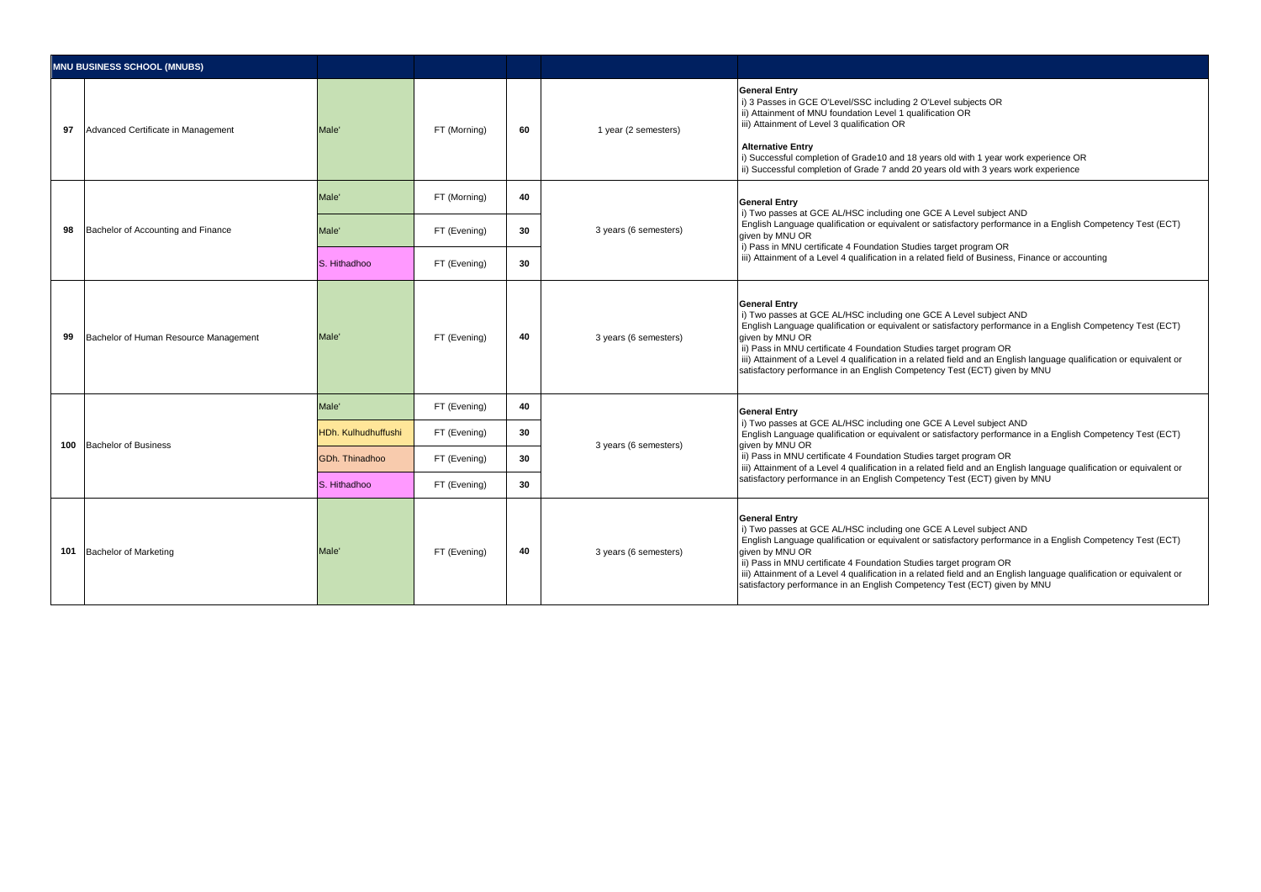| <b>MNU BUSINESS SCHOOL (MNUBS)</b> |                                       |                             |                       |                                                                                                                                                                                                                                                                          |                       |                                                                                                                                                                                                                                                                                                                                                                                                                                                                                                        |
|------------------------------------|---------------------------------------|-----------------------------|-----------------------|--------------------------------------------------------------------------------------------------------------------------------------------------------------------------------------------------------------------------------------------------------------------------|-----------------------|--------------------------------------------------------------------------------------------------------------------------------------------------------------------------------------------------------------------------------------------------------------------------------------------------------------------------------------------------------------------------------------------------------------------------------------------------------------------------------------------------------|
| 97                                 | Advanced Certificate in Management    | Male <sup>'</sup>           | FT (Morning)          | 60                                                                                                                                                                                                                                                                       | 1 year (2 semesters)  | <b>General Entry</b><br>i) 3 Passes in GCE O'Level/SSC including 2 O'Level subjects OR<br>ii) Attainment of MNU foundation Level 1 qualification OR<br>iii) Attainment of Level 3 qualification OR<br><b>Alternative Entry</b><br>i) Successful completion of Grade10 and 18 years old with 1 year work experience OR<br>ii) Successful completion of Grade 7 andd 20 years old with 3 years work experience                                                                                           |
|                                    |                                       | Male'                       | FT (Morning)          | 40                                                                                                                                                                                                                                                                       |                       | <b>General Entry</b>                                                                                                                                                                                                                                                                                                                                                                                                                                                                                   |
| 98                                 | Bachelor of Accounting and Finance    | Male'<br>30<br>FT (Evening) | 3 years (6 semesters) | i) Two passes at GCE AL/HSC including one GCE A Level subject AND<br>English Language qualification or equivalent or satisfactory performance in a English Competency Test (ECT)<br>aiven by MNU OR<br>i) Pass in MNU certificate 4 Foundation Studies target program OR |                       |                                                                                                                                                                                                                                                                                                                                                                                                                                                                                                        |
|                                    |                                       | S. Hithadhoo                | FT (Evening)          | 30                                                                                                                                                                                                                                                                       |                       | iii) Attainment of a Level 4 qualification in a related field of Business, Finance or accounting                                                                                                                                                                                                                                                                                                                                                                                                       |
| 99                                 | Bachelor of Human Resource Management | Male <sup>'</sup>           | FT (Evening)          | 40                                                                                                                                                                                                                                                                       | 3 years (6 semesters) | <b>General Entry</b><br>i) Two passes at GCE AL/HSC including one GCE A Level subject AND<br>English Language qualification or equivalent or satisfactory performance in a English Competency Test (ECT)<br>aiven by MNU OR<br>ii) Pass in MNU certificate 4 Foundation Studies target program OR<br>iii) Attainment of a Level 4 qualification in a related field and an English language qualification or equivalent or<br>satisfactory performance in an English Competency Test (ECT) given by MNU |
|                                    | Bachelor of Business                  | Male'                       | FT (Evening)          | 40                                                                                                                                                                                                                                                                       | 3 years (6 semesters) | <b>General Entry</b><br>i) Two passes at GCE AL/HSC including one GCE A Level subject AND<br>English Language qualification or equivalent or satisfactory performance in a English Competency Test (ECT)<br>given by MNU OR<br>ii) Pass in MNU certificate 4 Foundation Studies target program OR<br>iii) Attainment of a Level 4 qualification in a related field and an English language qualification or equivalent or<br>satisfactory performance in an English Competency Test (ECT) given by MNU |
| 100                                |                                       | <b>HDh. Kulhudhuffushi</b>  | FT (Evening)          | 30                                                                                                                                                                                                                                                                       |                       |                                                                                                                                                                                                                                                                                                                                                                                                                                                                                                        |
|                                    |                                       | GDh. Thinadhoo              | FT (Evening)          | 30                                                                                                                                                                                                                                                                       |                       |                                                                                                                                                                                                                                                                                                                                                                                                                                                                                                        |
|                                    |                                       | S. Hithadhoo                | FT (Evening)          | 30                                                                                                                                                                                                                                                                       |                       |                                                                                                                                                                                                                                                                                                                                                                                                                                                                                                        |
| 101                                | <b>Bachelor of Marketing</b>          | Male'                       | FT (Evening)          | 40                                                                                                                                                                                                                                                                       | 3 years (6 semesters) | <b>General Entry</b><br>i) Two passes at GCE AL/HSC including one GCE A Level subject AND<br>English Language qualification or equivalent or satisfactory performance in a English Competency Test (ECT)<br>aiven by MNU OR<br>ii) Pass in MNU certificate 4 Foundation Studies target program OR<br>iii) Attainment of a Level 4 qualification in a related field and an English language qualification or equivalent or<br>satisfactory performance in an English Competency Test (ECT) given by MNU |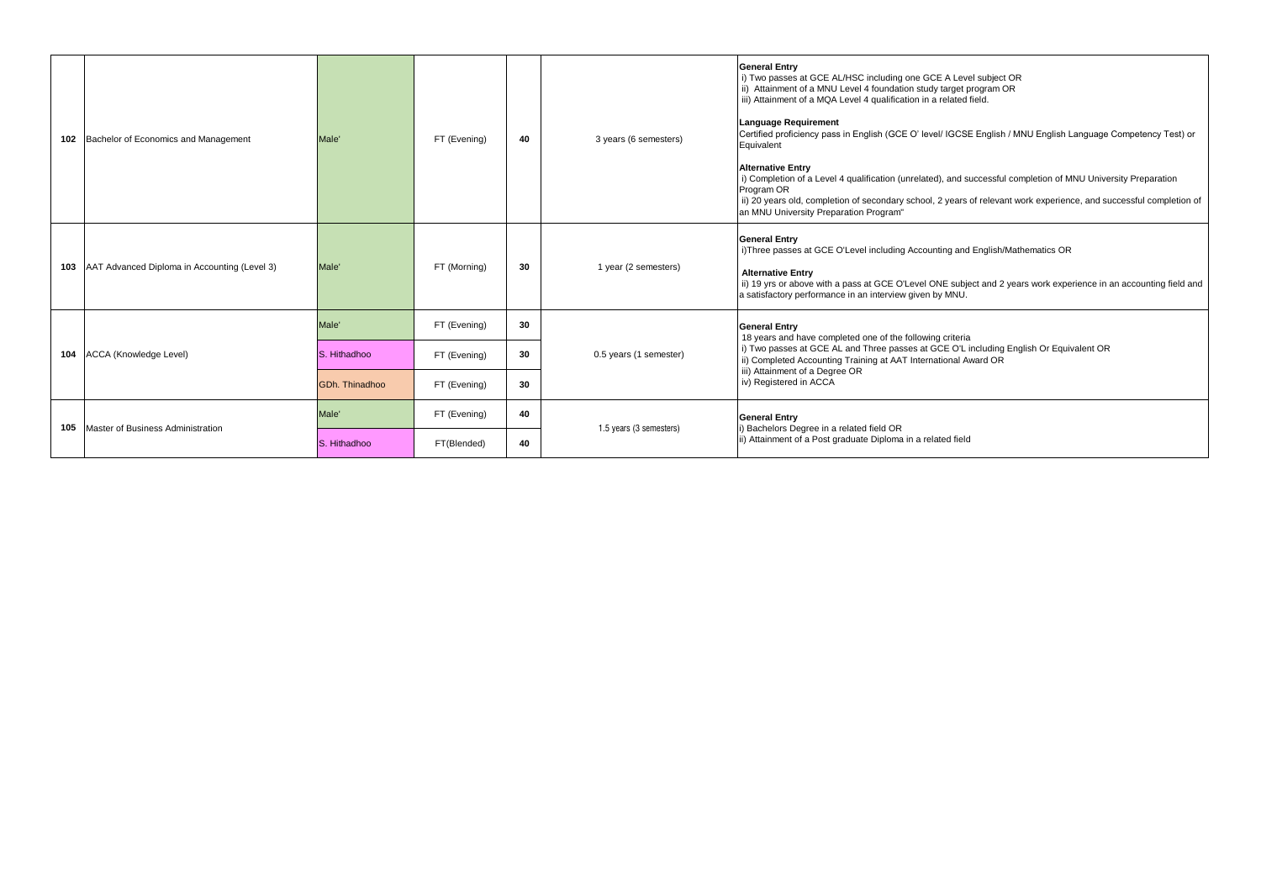|     | 102 Bachelor of Economics and Management         | Male'          | FT (Evening) | 40 | 3 years (6 semesters)   | <b>General Entry</b><br>i) Two passes at GCE AL/HSC including one GCE A Level subject OR<br>ii) Attainment of a MNU Level 4 foundation study target program OR<br>iii) Attainment of a MQA Level 4 qualification in a related field.<br>Language Requirement<br>Certified proficiency pass in English (GCE O' level/ IGCSE English / MNU English Language Competency Test) or<br>Equivalent<br><b>Alternative Entry</b><br>i) Completion of a Level 4 qualification (unrelated), and successful completion of MNU University Preparation<br>Program OR<br>ii) 20 years old, completion of secondary school, 2 years of relevant work experience, and successful completion of<br>an MNU University Preparation Program" |
|-----|--------------------------------------------------|----------------|--------------|----|-------------------------|-------------------------------------------------------------------------------------------------------------------------------------------------------------------------------------------------------------------------------------------------------------------------------------------------------------------------------------------------------------------------------------------------------------------------------------------------------------------------------------------------------------------------------------------------------------------------------------------------------------------------------------------------------------------------------------------------------------------------|
|     | 103 AAT Advanced Diploma in Accounting (Level 3) | Male'          | FT (Morning) | 30 | 1 year (2 semesters)    | <b>General Entry</b><br>i) Three passes at GCE O'Level including Accounting and English/Mathematics OR<br><b>Alternative Entry</b><br>ii) 19 yrs or above with a pass at GCE O'Level ONE subject and 2 years work experience in an accounting field and<br>a satisfactory performance in an interview given by MNU.                                                                                                                                                                                                                                                                                                                                                                                                     |
|     | 104 ACCA (Knowledge Level)                       | Male'          | FT (Evening) | 30 | 0.5 years (1 semester)  | <b>General Entry</b><br>18 years and have completed one of the following criteria<br>i) Two passes at GCE AL and Three passes at GCE O'L including English Or Equivalent OR                                                                                                                                                                                                                                                                                                                                                                                                                                                                                                                                             |
|     |                                                  | S. Hithadhoo   | FT (Evening) | 30 |                         | ii) Completed Accounting Training at AAT International Award OR<br>iii) Attainment of a Degree OR                                                                                                                                                                                                                                                                                                                                                                                                                                                                                                                                                                                                                       |
|     |                                                  | GDh. Thinadhoo | FT (Evening) | 30 |                         | iv) Registered in ACCA                                                                                                                                                                                                                                                                                                                                                                                                                                                                                                                                                                                                                                                                                                  |
| 105 | Master of Business Administration                | Male'          | FT (Evening) | 40 | 1.5 years (3 semesters) | <b>General Entry</b><br>) Bachelors Degree in a related field OR<br>ii) Attainment of a Post graduate Diploma in a related field                                                                                                                                                                                                                                                                                                                                                                                                                                                                                                                                                                                        |
|     |                                                  | S. Hithadhoo   | FT(Blended)  | 40 |                         |                                                                                                                                                                                                                                                                                                                                                                                                                                                                                                                                                                                                                                                                                                                         |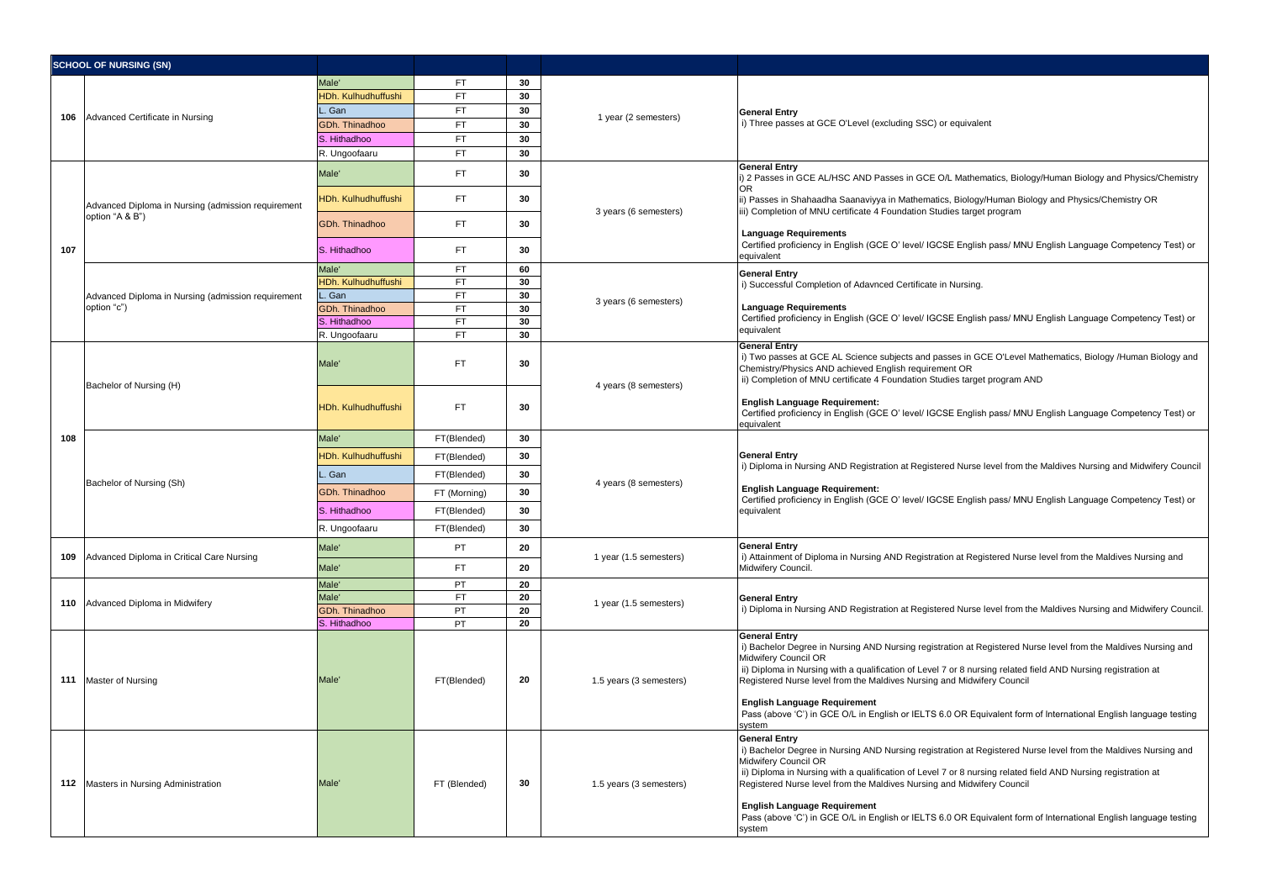|     | <b>SCHOOL OF NURSING (SN)</b>                                     |                                |                        |          |                         |                                                                                                                                                                                                                                                                                                                                                                                                                                                                                                                                |
|-----|-------------------------------------------------------------------|--------------------------------|------------------------|----------|-------------------------|--------------------------------------------------------------------------------------------------------------------------------------------------------------------------------------------------------------------------------------------------------------------------------------------------------------------------------------------------------------------------------------------------------------------------------------------------------------------------------------------------------------------------------|
|     |                                                                   | Male'                          | FT                     | 30       |                         |                                                                                                                                                                                                                                                                                                                                                                                                                                                                                                                                |
|     |                                                                   | IDh. Kulhudhuffushi            | <b>FT</b>              | 30       |                         |                                                                                                                                                                                                                                                                                                                                                                                                                                                                                                                                |
|     | Advanced Certificate in Nursing                                   | . Gan                          | <b>FT</b>              | 30       |                         | <b>General Entry</b>                                                                                                                                                                                                                                                                                                                                                                                                                                                                                                           |
| 106 |                                                                   | <b>3Dh. Thinadhoo</b>          | <b>FT</b>              | 30       | 1 year (2 semesters)    | i) Three passes at GCE O'Level (excluding SSC) or equivalent                                                                                                                                                                                                                                                                                                                                                                                                                                                                   |
|     |                                                                   | S. Hithadhoo                   | <b>FT</b>              | 30       |                         |                                                                                                                                                                                                                                                                                                                                                                                                                                                                                                                                |
|     |                                                                   | R. Ungoofaaru                  | <b>FT</b>              | 30       |                         |                                                                                                                                                                                                                                                                                                                                                                                                                                                                                                                                |
|     |                                                                   | Male'                          | FT.                    | 30       |                         | <b>General Entry</b><br>i) 2 Passes in GCE AL/HSC AND Passes in GCE O/L Mathematics, Biology/Human Biology and Physics/Chemistry<br><b>OR</b>                                                                                                                                                                                                                                                                                                                                                                                  |
|     | Advanced Diploma in Nursing (admission requirement                | <b>HDh. Kulhudhuffushi</b>     | <b>FT</b>              | 30       | 3 years (6 semesters)   | ii) Passes in Shahaadha Saanaviyya in Mathematics, Biology/Human Biology and Physics/Chemistry OR<br>ii) Completion of MNU certificate 4 Foundation Studies target program                                                                                                                                                                                                                                                                                                                                                     |
|     | option "A & B")                                                   | GDh. Thinadhoo                 | <b>FT</b>              | 30       |                         | <b>Language Requirements</b>                                                                                                                                                                                                                                                                                                                                                                                                                                                                                                   |
| 107 |                                                                   | S. Hithadhoo                   | FT.                    | 30       |                         | Certified proficiency in English (GCE O' level/ IGCSE English pass/ MNU English Language Competency Test) or<br>equivalent                                                                                                                                                                                                                                                                                                                                                                                                     |
|     |                                                                   | Male'                          | FT                     | 60       |                         | <b>General Entry</b>                                                                                                                                                                                                                                                                                                                                                                                                                                                                                                           |
|     |                                                                   | <b>HDh. Kulhudhuffushi</b>     | <b>FT</b>              | 30       |                         | i) Successful Completion of Adavnced Certificate in Nursing.                                                                                                                                                                                                                                                                                                                                                                                                                                                                   |
|     | Advanced Diploma in Nursing (admission requirement<br>option "c") | . Gan<br><b>GDh. Thinadhoo</b> | <b>FT</b><br><b>FT</b> | 30<br>30 | 3 years (6 semesters)   | <b>Language Requirements</b>                                                                                                                                                                                                                                                                                                                                                                                                                                                                                                   |
|     |                                                                   | S. Hithadhoo                   | <b>FT</b>              | 30       |                         | Certified proficiency in English (GCE O' level/ IGCSE English pass/ MNU English Language Competency Test) or                                                                                                                                                                                                                                                                                                                                                                                                                   |
|     |                                                                   | R. Ungoofaaru                  | <b>FT</b>              | 30       |                         | equivalent                                                                                                                                                                                                                                                                                                                                                                                                                                                                                                                     |
|     |                                                                   | Male'                          | <b>FT</b>              | 30       |                         | <b>General Entry</b><br>i) Two passes at GCE AL Science subjects and passes in GCE O'Level Mathematics, Biology /Human Biology and<br>Chemistry/Physics AND achieved English requirement OR<br>ii) Completion of MNU certificate 4 Foundation Studies target program AND                                                                                                                                                                                                                                                       |
| 108 | Bachelor of Nursing (H)                                           | HDh. Kulhudhuffushi            | <b>FT</b>              | 30       | 4 years (8 semesters)   | <b>English Language Requirement:</b><br>Certified proficiency in English (GCE O' level/ IGCSE English pass/ MNU English Language Competency Test) or<br>equivalent                                                                                                                                                                                                                                                                                                                                                             |
|     | Bachelor of Nursing (Sh)                                          | Male'                          | FT(Blended)            | 30       |                         | <b>General Entry</b><br>i) Diploma in Nursing AND Registration at Registered Nurse level from the Maldives Nursing and Midwifery Council<br><b>English Language Requirement:</b><br>Certified proficiency in English (GCE O' level/ IGCSE English pass/ MNU English Language Competency Test) or<br>equivalent                                                                                                                                                                                                                 |
|     |                                                                   | <b>HDh. Kulhudhuffushi</b>     | FT(Blended)            | 30       |                         |                                                                                                                                                                                                                                                                                                                                                                                                                                                                                                                                |
|     |                                                                   | . Gan                          | FT(Blended)            | 30       |                         |                                                                                                                                                                                                                                                                                                                                                                                                                                                                                                                                |
|     |                                                                   | GDh. Thinadhoo                 | FT (Morning)           | 30       | 4 years (8 semesters)   |                                                                                                                                                                                                                                                                                                                                                                                                                                                                                                                                |
|     |                                                                   | S. Hithadhoo                   | FT(Blended)            | 30       |                         |                                                                                                                                                                                                                                                                                                                                                                                                                                                                                                                                |
|     |                                                                   | R. Ungoofaaru                  | FT(Blended)            | 30       |                         |                                                                                                                                                                                                                                                                                                                                                                                                                                                                                                                                |
| 109 | Advanced Diploma in Critical Care Nursing                         | Male'                          | PT                     | 20       | 1 year (1.5 semesters)  | <b>General Entry</b><br>i) Attainment of Diploma in Nursing AND Registration at Registered Nurse level from the Maldives Nursing and<br>Midwifery Council.                                                                                                                                                                                                                                                                                                                                                                     |
|     |                                                                   | Male'                          | <b>FT</b>              | 20       |                         |                                                                                                                                                                                                                                                                                                                                                                                                                                                                                                                                |
|     |                                                                   | Male'                          | PT                     | 20       |                         |                                                                                                                                                                                                                                                                                                                                                                                                                                                                                                                                |
|     | 110 Advanced Diploma in Midwifery                                 | Male'                          | <b>FT</b>              | 20       | 1 year (1.5 semesters)  | <b>General Entry</b>                                                                                                                                                                                                                                                                                                                                                                                                                                                                                                           |
|     |                                                                   | <b>GDh. Thinadhoo</b>          | PT                     | 20       |                         | i) Diploma in Nursing AND Registration at Registered Nurse level from the Maldives Nursing and Midwifery Council                                                                                                                                                                                                                                                                                                                                                                                                               |
|     | 111 Master of Nursing                                             | S. Hithadhoo<br>Male'          | PT<br>FT(Blended)      | 20<br>20 | 1.5 years (3 semesters) | <b>General Entry</b><br>i) Bachelor Degree in Nursing AND Nursing registration at Registered Nurse level from the Maldives Nursing and<br>Midwifery Council OR<br>ii) Diploma in Nursing with a qualification of Level 7 or 8 nursing related field AND Nursing registration at<br>Registered Nurse level from the Maldives Nursing and Midwifery Council<br><b>English Language Requirement</b><br>Pass (above 'C') in GCE O/L in English or IELTS 6.0 OR Equivalent form of International English language testing           |
|     | 112 Masters in Nursing Administration                             | Male'                          | FT (Blended)           | 30       | 1.5 years (3 semesters) | <b>General Entry</b><br>i) Bachelor Degree in Nursing AND Nursing registration at Registered Nurse level from the Maldives Nursing and<br>Midwifery Council OR<br>ii) Diploma in Nursing with a qualification of Level 7 or 8 nursing related field AND Nursing registration at<br>Registered Nurse level from the Maldives Nursing and Midwifery Council<br><b>English Language Requirement</b><br>Pass (above 'C') in GCE O/L in English or IELTS 6.0 OR Equivalent form of International English language testing<br>system |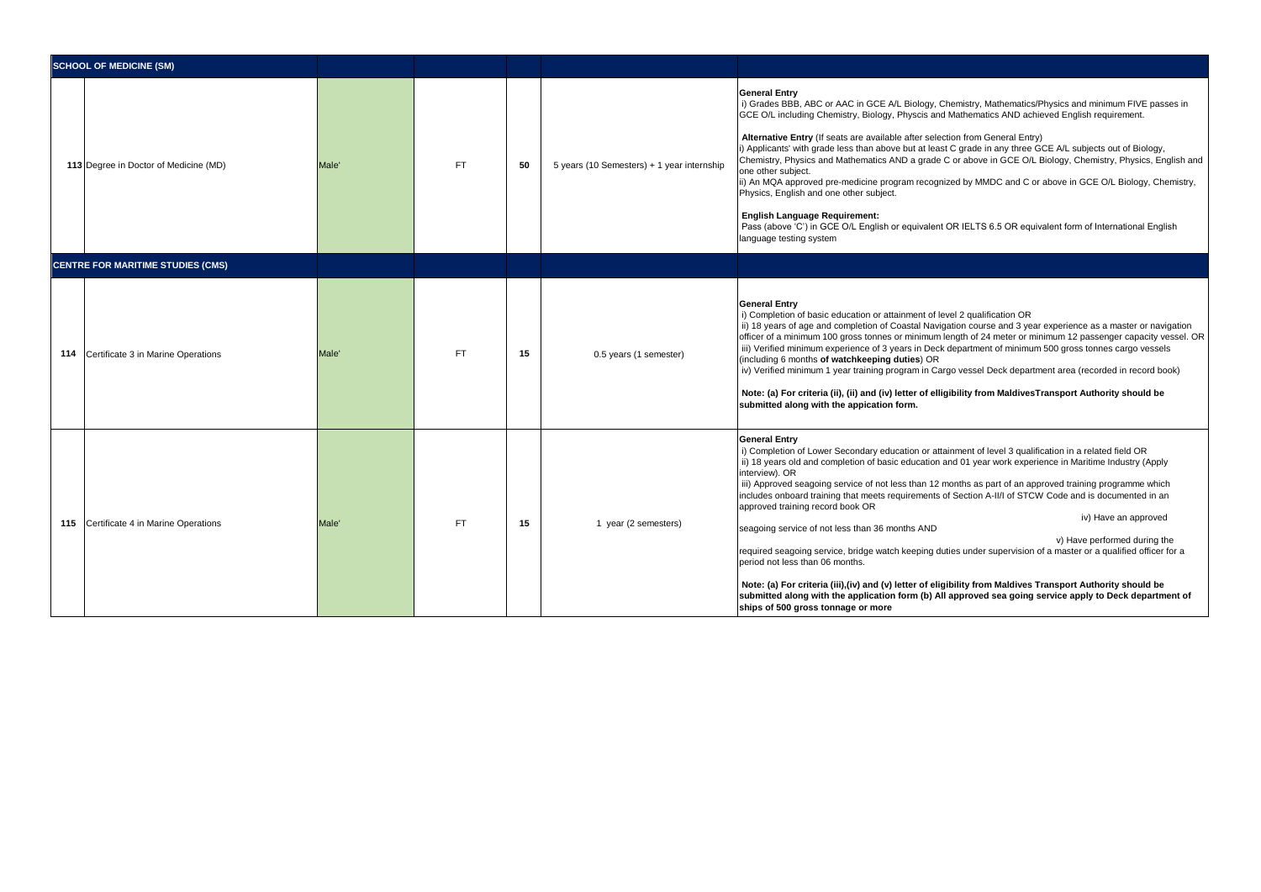| <b>SCHOOL OF MEDICINE (SM)</b>           |       |           |    |                                            |                                                                                                                                                                                                                                                                                                                                                                                                                                                                                                                                                                                                                                                                                                                                                                                                                                                                                                                                                                                                                                                                   |
|------------------------------------------|-------|-----------|----|--------------------------------------------|-------------------------------------------------------------------------------------------------------------------------------------------------------------------------------------------------------------------------------------------------------------------------------------------------------------------------------------------------------------------------------------------------------------------------------------------------------------------------------------------------------------------------------------------------------------------------------------------------------------------------------------------------------------------------------------------------------------------------------------------------------------------------------------------------------------------------------------------------------------------------------------------------------------------------------------------------------------------------------------------------------------------------------------------------------------------|
| 113 Degree in Doctor of Medicine (MD)    | Male' | <b>FT</b> | 50 | 5 years (10 Semesters) + 1 year internship | <b>General Entry</b><br>i) Grades BBB, ABC or AAC in GCE A/L Biology, Chemistry, Mathematics/Physics and minimum FIVE passes in<br>GCE O/L including Chemistry, Biology, Physcis and Mathematics AND achieved English requirement.<br>Alternative Entry (If seats are available after selection from General Entry)<br>i) Applicants' with grade less than above but at least C grade in any three GCE A/L subjects out of Biology,<br>Chemistry, Physics and Mathematics AND a grade C or above in GCE O/L Biology, Chemistry, Physics, English and<br>one other subiect.<br>ii) An MQA approved pre-medicine program recognized by MMDC and C or above in GCE O/L Biology, Chemistry,<br>Physics, English and one other subject.<br><b>English Language Requirement:</b><br>Pass (above 'C') in GCE O/L English or equivalent OR IELTS 6.5 OR equivalent form of International English<br>language testing system                                                                                                                                               |
| <b>CENTRE FOR MARITIME STUDIES (CMS)</b> |       |           |    |                                            |                                                                                                                                                                                                                                                                                                                                                                                                                                                                                                                                                                                                                                                                                                                                                                                                                                                                                                                                                                                                                                                                   |
| 114 Certificate 3 in Marine Operations   | Male' | <b>FT</b> | 15 | 0.5 years (1 semester)                     | <b>General Entry</b><br>i) Completion of basic education or attainment of level 2 qualification OR<br>ii) 18 years of age and completion of Coastal Navigation course and 3 year experience as a master or navigation<br>officer of a minimum 100 gross tonnes or minimum length of 24 meter or minimum 12 passenger capacity vessel. OR<br>iii) Verified minimum experience of 3 years in Deck department of minimum 500 gross tonnes cargo vessels<br>(including 6 months of watchkeeping duties) OR<br>iv) Verified minimum 1 year training program in Cargo vessel Deck department area (recorded in record book)<br>Note: (a) For criteria (ii), (ii) and (iv) letter of elligibility from MaldivesTransport Authority should be<br>submitted along with the appication form.                                                                                                                                                                                                                                                                                |
| 115 Certificate 4 in Marine Operations   | Male' | <b>FT</b> | 15 | 1 year (2 semesters)                       | <b>General Entry</b><br>i) Completion of Lower Secondary education or attainment of level 3 qualification in a related field OR<br>ii) 18 years old and completion of basic education and 01 year work experience in Maritime Industry (Apply<br>interview). OR<br>iii) Approved seagoing service of not less than 12 months as part of an approved training programme which<br>includes onboard training that meets requirements of Section A-II/I of STCW Code and is documented in an<br>approved training record book OR<br>iv) Have an approved<br>seagoing service of not less than 36 months AND<br>v) Have performed during the<br>required seagoing service, bridge watch keeping duties under supervision of a master or a qualified officer for a<br>period not less than 06 months.<br>Note: (a) For criteria (iii), (iv) and (v) letter of eligibility from Maldives Transport Authority should be<br>submitted along with the application form (b) All approved sea going service apply to Deck department of<br>ships of 500 gross tonnage or more |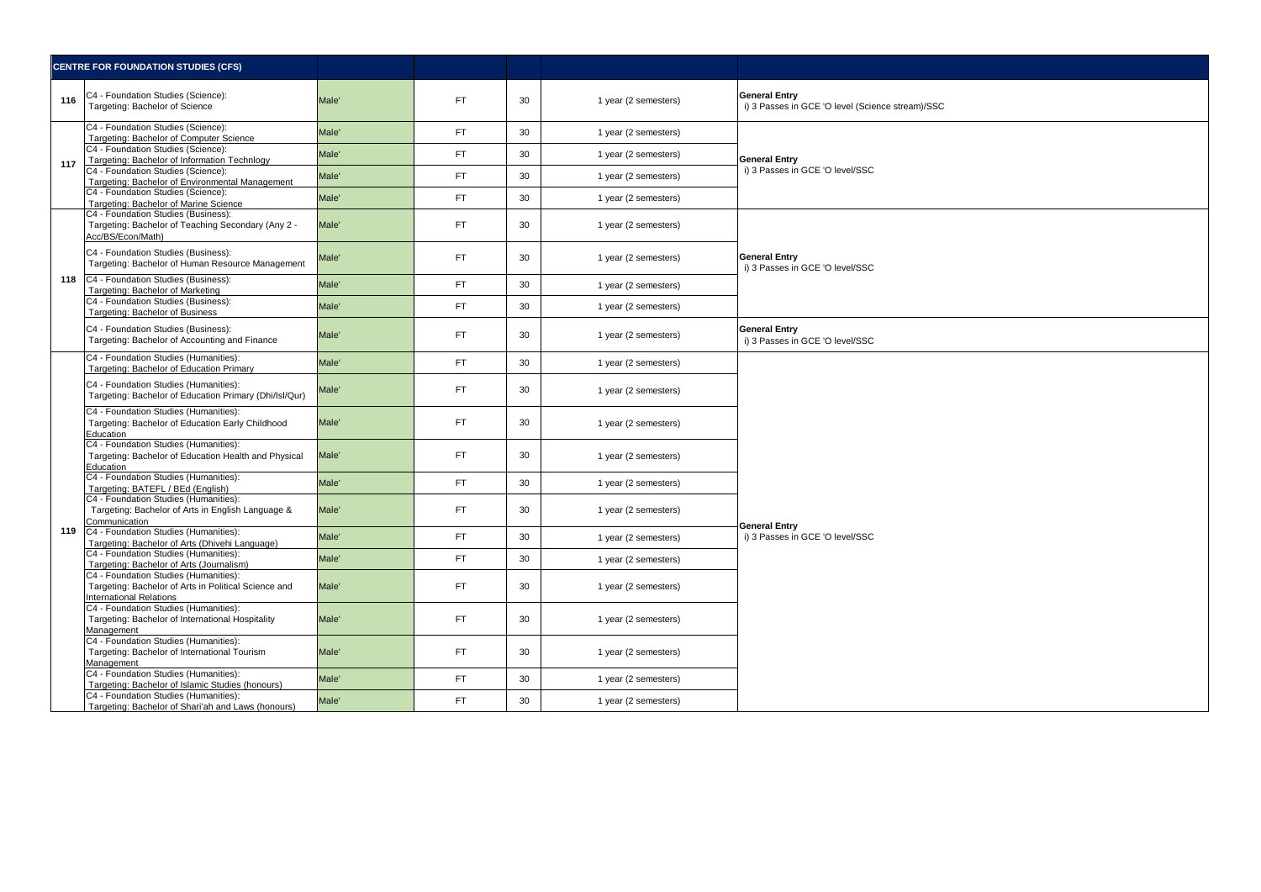| <b>CENTRE FOR FOUNDATION STUDIES (CFS)</b> |                                                                                                                          |                   |     |    |                      |                                                                          |
|--------------------------------------------|--------------------------------------------------------------------------------------------------------------------------|-------------------|-----|----|----------------------|--------------------------------------------------------------------------|
| 116                                        | C4 - Foundation Studies (Science):<br>Targeting: Bachelor of Science                                                     | Male'             | FT. | 30 | 1 year (2 semesters) | <b>General Entry</b><br>i) 3 Passes in GCE 'O level (Science stream)/SSC |
| 117                                        | C4 - Foundation Studies (Science):<br>Targeting: Bachelor of Computer Science                                            | Male'             | FT. | 30 | 1 year (2 semesters) |                                                                          |
|                                            | C4 - Foundation Studies (Science):<br>Targeting: Bachelor of Information Technlogy                                       | Male'             | FT. | 30 | 1 year (2 semesters) | <b>General Entry</b>                                                     |
|                                            | C4 - Foundation Studies (Science):<br>Targeting: Bachelor of Environmental Management                                    | Male'             | FT. | 30 | 1 year (2 semesters) | i) 3 Passes in GCE 'O level/SSC                                          |
|                                            | C4 - Foundation Studies (Science):<br>Targeting: Bachelor of Marine Science                                              | Male'             | FT. | 30 | 1 year (2 semesters) |                                                                          |
|                                            | C4 - Foundation Studies (Business):<br>Targeting: Bachelor of Teaching Secondary (Any 2 -<br>Acc/BS/Econ/Math)           | Male'             | FT. | 30 | 1 year (2 semesters) |                                                                          |
|                                            | C4 - Foundation Studies (Business):<br>Targeting: Bachelor of Human Resource Management                                  | Male'             | FT. | 30 | 1 year (2 semesters) | <b>General Entry</b><br>i) 3 Passes in GCE 'O level/SSC                  |
| 118                                        | C4 - Foundation Studies (Business):<br>Targeting: Bachelor of Marketing                                                  | Male'             | FT. | 30 | 1 year (2 semesters) |                                                                          |
|                                            | C4 - Foundation Studies (Business):<br>Targeting: Bachelor of Business                                                   | Male <sup>'</sup> | FT. | 30 | 1 year (2 semesters) |                                                                          |
|                                            | C4 - Foundation Studies (Business):<br>Targeting: Bachelor of Accounting and Finance                                     | Male'             | FT. | 30 | 1 year (2 semesters) | <b>General Entry</b><br>i) 3 Passes in GCE 'O level/SSC                  |
|                                            | C4 - Foundation Studies (Humanities):<br>Targeting: Bachelor of Education Primary                                        | Male'             | FT. | 30 | 1 year (2 semesters) |                                                                          |
|                                            | C4 - Foundation Studies (Humanities):<br>Targeting: Bachelor of Education Primary (Dhi/Isl/Qur)                          | Male'             | FT. | 30 | 1 year (2 semesters) |                                                                          |
|                                            | C4 - Foundation Studies (Humanities):<br>Targeting: Bachelor of Education Early Childhood<br>Education                   | Male'             | FT. | 30 | 1 year (2 semesters) |                                                                          |
|                                            | C4 - Foundation Studies (Humanities):<br>Targeting: Bachelor of Education Health and Physical<br>Education               | Male'             | FT. | 30 | 1 year (2 semesters) |                                                                          |
|                                            | C4 - Foundation Studies (Humanities):<br>Targeting: BATEFL / BEd (English)                                               | Male'             | FT. | 30 | 1 year (2 semesters) |                                                                          |
|                                            | C4 - Foundation Studies (Humanities):<br>Targeting: Bachelor of Arts in English Language &<br>Communication              | Male'             | FT. | 30 | 1 year (2 semesters) | <b>General Entry</b>                                                     |
|                                            | 119 C4 - Foundation Studies (Humanities):<br>Targeting: Bachelor of Arts (Dhivehi Language)                              | Male'             | FT. | 30 | 1 year (2 semesters) | i) 3 Passes in GCE 'O level/SSC                                          |
|                                            | C4 - Foundation Studies (Humanities):<br>Targeting: Bachelor of Arts (Journalism)                                        | Male'             | FT. | 30 | 1 year (2 semesters) |                                                                          |
|                                            | C4 - Foundation Studies (Humanities):<br>Targeting: Bachelor of Arts in Political Science and<br>International Relations | Male'             | FT. | 30 | 1 year (2 semesters) |                                                                          |
|                                            | C4 - Foundation Studies (Humanities):<br>Targeting: Bachelor of International Hospitality<br>Management                  | Male'             | FT. | 30 | 1 year (2 semesters) |                                                                          |
|                                            | C4 - Foundation Studies (Humanities):<br>Targeting: Bachelor of International Tourism<br>Management                      | Male'             | FT. | 30 | 1 year (2 semesters) |                                                                          |
|                                            | C4 - Foundation Studies (Humanities):<br>Targeting: Bachelor of Islamic Studies (honours)                                | Male'             | FT. | 30 | 1 year (2 semesters) |                                                                          |
|                                            | C4 - Foundation Studies (Humanities):<br>Targeting: Bachelor of Shari'ah and Laws (honours)                              | Male'             | FT. | 30 | 1 year (2 semesters) |                                                                          |